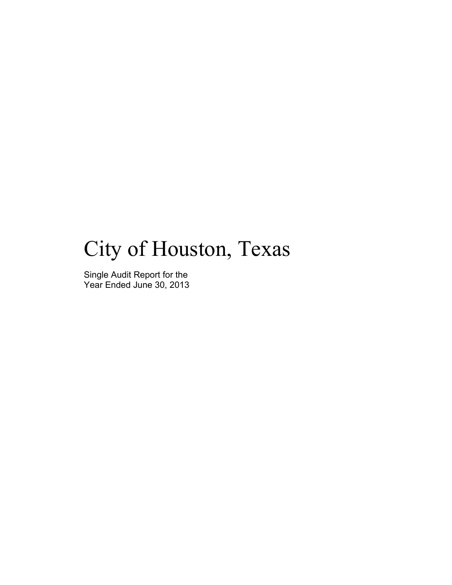# City of Houston, Texas

Single Audit Report for the Year Ended June 30, 2013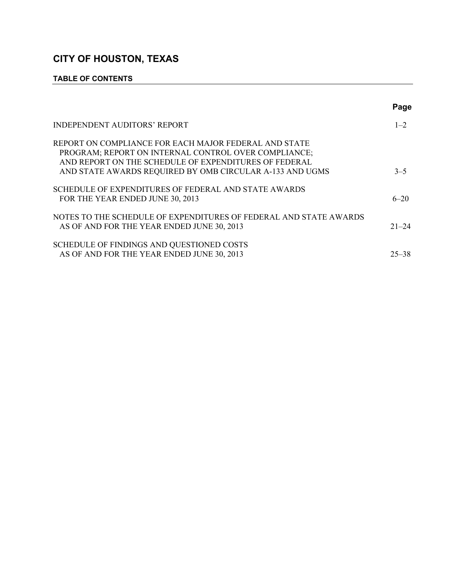## **TABLE OF CONTENTS**

|                                                                                                                                                                                                                                    | Page      |
|------------------------------------------------------------------------------------------------------------------------------------------------------------------------------------------------------------------------------------|-----------|
| <b>INDEPENDENT AUDITORS' REPORT</b>                                                                                                                                                                                                | $1 - 2$   |
| REPORT ON COMPLIANCE FOR EACH MAJOR FEDERAL AND STATE<br>PROGRAM; REPORT ON INTERNAL CONTROL OVER COMPLIANCE;<br>AND REPORT ON THE SCHEDULE OF EXPENDITURES OF FEDERAL<br>AND STATE AWARDS REQUIRED BY OMB CIRCULAR A-133 AND UGMS | $3 - 5$   |
| SCHEDULE OF EXPENDITURES OF FEDERAL AND STATE AWARDS<br>FOR THE YEAR ENDED JUNE 30, 2013                                                                                                                                           | $6 - 20$  |
| NOTES TO THE SCHEDULE OF EXPENDITURES OF FEDERAL AND STATE AWARDS<br>AS OF AND FOR THE YEAR ENDED JUNE 30, 2013                                                                                                                    | $21 - 24$ |
| SCHEDULE OF FINDINGS AND QUESTIONED COSTS<br>AS OF AND FOR THE YEAR ENDED JUNE 30, 2013                                                                                                                                            | $25 - 38$ |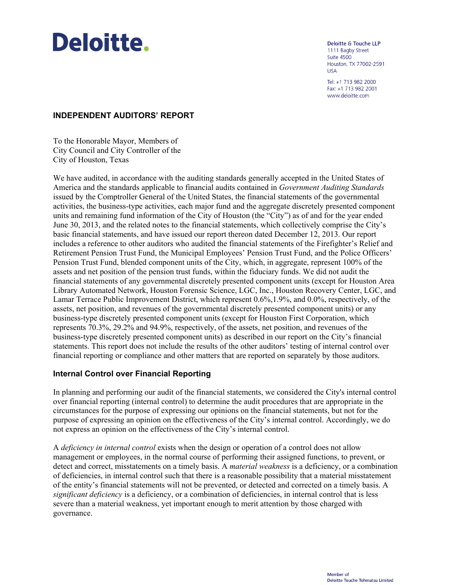# Deloitte.

**Deloitte & Touche LLP** 1111 Bagby Street Suite 4500 Houston, TX 77002-2591 **USA** 

Tel: +1 713 982 2000 Fax: +1 713 982 2001 www.deloitte.com

## **INDEPENDENT AUDITORS' REPORT**

To the Honorable Mayor, Members of City Council and City Controller of the City of Houston, Texas

We have audited, in accordance with the auditing standards generally accepted in the United States of America and the standards applicable to financial audits contained in *Government Auditing Standards* issued by the Comptroller General of the United States, the financial statements of the governmental activities, the business-type activities, each major fund and the aggregate discretely presented component units and remaining fund information of the City of Houston (the "City") as of and for the year ended June 30, 2013, and the related notes to the financial statements, which collectively comprise the City's basic financial statements, and have issued our report thereon dated December 12, 2013. Our report includes a reference to other auditors who audited the financial statements of the Firefighter's Relief and Retirement Pension Trust Fund, the Municipal Employees' Pension Trust Fund, and the Police Officers' Pension Trust Fund, blended component units of the City, which, in aggregate, represent 100% of the assets and net position of the pension trust funds, within the fiduciary funds. We did not audit the financial statements of any governmental discretely presented component units (except for Houston Area Library Automated Network, Houston Forensic Science, LGC, Inc., Houston Recovery Center, LGC, and Lamar Terrace Public Improvement District, which represent 0.6%,1.9%, and 0.0%, respectively, of the assets, net position, and revenues of the governmental discretely presented component units) or any business-type discretely presented component units (except for Houston First Corporation, which represents 70.3%, 29.2% and 94.9%, respectively, of the assets, net position, and revenues of the business-type discretely presented component units) as described in our report on the City's financial statements. This report does not include the results of the other auditors' testing of internal control over financial reporting or compliance and other matters that are reported on separately by those auditors.

## **Internal Control over Financial Reporting**

In planning and performing our audit of the financial statements, we considered the City's internal control over financial reporting (internal control) to determine the audit procedures that are appropriate in the circumstances for the purpose of expressing our opinions on the financial statements, but not for the purpose of expressing an opinion on the effectiveness of the City's internal control. Accordingly, we do not express an opinion on the effectiveness of the City's internal control.

A *deficiency in internal control* exists when the design or operation of a control does not allow management or employees, in the normal course of performing their assigned functions, to prevent, or detect and correct, misstatements on a timely basis. A *material weakness* is a deficiency, or a combination of deficiencies, in internal control such that there is a reasonable possibility that a material misstatement of the entity's financial statements will not be prevented, or detected and corrected on a timely basis. A *significant deficiency* is a deficiency, or a combination of deficiencies, in internal control that is less severe than a material weakness, yet important enough to merit attention by those charged with governance.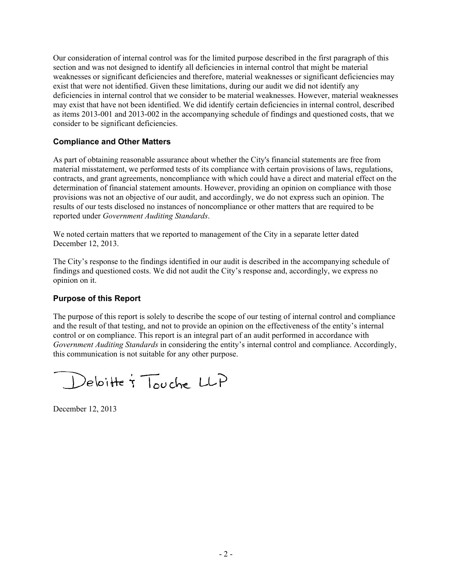Our consideration of internal control was for the limited purpose described in the first paragraph of this section and was not designed to identify all deficiencies in internal control that might be material weaknesses or significant deficiencies and therefore, material weaknesses or significant deficiencies may exist that were not identified. Given these limitations, during our audit we did not identify any deficiencies in internal control that we consider to be material weaknesses. However, material weaknesses may exist that have not been identified. We did identify certain deficiencies in internal control, described as items 2013-001 and 2013-002 in the accompanying schedule of findings and questioned costs, that we consider to be significant deficiencies.

## **Compliance and Other Matters**

As part of obtaining reasonable assurance about whether the City's financial statements are free from material misstatement, we performed tests of its compliance with certain provisions of laws, regulations, contracts, and grant agreements, noncompliance with which could have a direct and material effect on the determination of financial statement amounts. However, providing an opinion on compliance with those provisions was not an objective of our audit, and accordingly, we do not express such an opinion. The results of our tests disclosed no instances of noncompliance or other matters that are required to be reported under *Government Auditing Standards*.

We noted certain matters that we reported to management of the City in a separate letter dated December 12, 2013.

The City's response to the findings identified in our audit is described in the accompanying schedule of findings and questioned costs. We did not audit the City's response and, accordingly, we express no opinion on it.

## **Purpose of this Report**

The purpose of this report is solely to describe the scope of our testing of internal control and compliance and the result of that testing, and not to provide an opinion on the effectiveness of the entity's internal control or on compliance. This report is an integral part of an audit performed in accordance with *Government Auditing Standards* in considering the entity's internal control and compliance. Accordingly, this communication is not suitable for any other purpose.

Deloitte & Touche LLP

December 12, 2013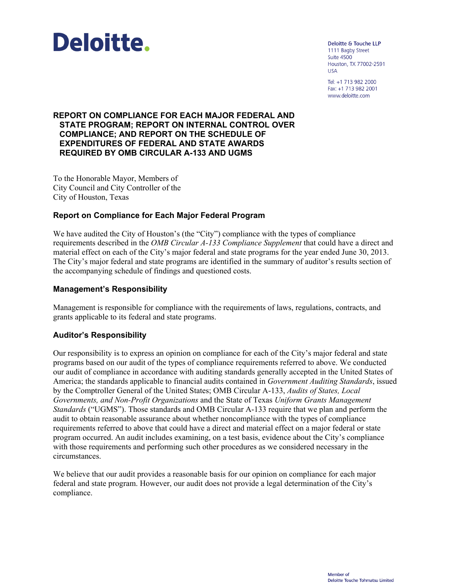

Deloitte & Touche LLP 1111 Bagby Street Suite 4500 Houston, TX 77002-2591 **USA** 

Tel: +1 713 982 2000 Fax: +1 713 982 2001 www.deloitte.com

## **REPORT ON COMPLIANCE FOR EACH MAJOR FEDERAL AND STATE PROGRAM; REPORT ON INTERNAL CONTROL OVER COMPLIANCE; AND REPORT ON THE SCHEDULE OF EXPENDITURES OF FEDERAL AND STATE AWARDS REQUIRED BY OMB CIRCULAR A-133 AND UGMS**

To the Honorable Mayor, Members of City Council and City Controller of the City of Houston, Texas

## **Report on Compliance for Each Major Federal Program**

We have audited the City of Houston's (the "City") compliance with the types of compliance requirements described in the *OMB Circular A-133 Compliance Supplement* that could have a direct and material effect on each of the City's major federal and state programs for the year ended June 30, 2013. The City's major federal and state programs are identified in the summary of auditor's results section of the accompanying schedule of findings and questioned costs.

## **Management's Responsibility**

Management is responsible for compliance with the requirements of laws, regulations, contracts, and grants applicable to its federal and state programs.

## **Auditor's Responsibility**

Our responsibility is to express an opinion on compliance for each of the City's major federal and state programs based on our audit of the types of compliance requirements referred to above. We conducted our audit of compliance in accordance with auditing standards generally accepted in the United States of America; the standards applicable to financial audits contained in *Government Auditing Standards*, issued by the Comptroller General of the United States; OMB Circular A-133, *Audits of States, Local Governments, and Non-Profit Organizations* and the State of Texas *Uniform Grants Management Standards* ("UGMS"). Those standards and OMB Circular A-133 require that we plan and perform the audit to obtain reasonable assurance about whether noncompliance with the types of compliance requirements referred to above that could have a direct and material effect on a major federal or state program occurred. An audit includes examining, on a test basis, evidence about the City's compliance with those requirements and performing such other procedures as we considered necessary in the circumstances.

We believe that our audit provides a reasonable basis for our opinion on compliance for each major federal and state program. However, our audit does not provide a legal determination of the City's compliance.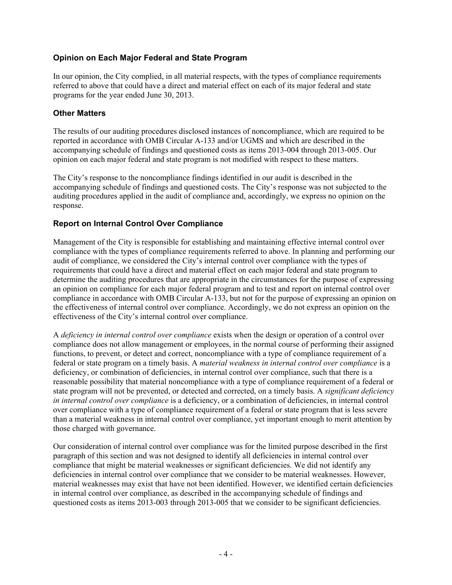## **Opinion on Each Major Federal and State Program**

In our opinion, the City complied, in all material respects, with the types of compliance requirements referred to above that could have a direct and material effect on each of its major federal and state programs for the year ended June 30, 2013.

## **Other Matters**

The results of our auditing procedures disclosed instances of noncompliance, which are required to be reported in accordance with OMB Circular A-133 and/or UGMS and which are described in the accompanying schedule of findings and questioned costs as items 2013-004 through 2013-005. Our opinion on each major federal and state program is not modified with respect to these matters.

The City's response to the noncompliance findings identified in our audit is described in the accompanying schedule of findings and questioned costs. The City's response was not subjected to the auditing procedures applied in the audit of compliance and, accordingly, we express no opinion on the response.

## **Report on Internal Control Over Compliance**

Management of the City is responsible for establishing and maintaining effective internal control over compliance with the types of compliance requirements referred to above. In planning and performing our audit of compliance, we considered the City's internal control over compliance with the types of requirements that could have a direct and material effect on each major federal and state program to determine the auditing procedures that are appropriate in the circumstances for the purpose of expressing an opinion on compliance for each major federal program and to test and report on internal control over compliance in accordance with OMB Circular A-133, but not for the purpose of expressing an opinion on the effectiveness of internal control over compliance. Accordingly, we do not express an opinion on the effectiveness of the City's internal control over compliance.

A *deficiency in internal control over compliance* exists when the design or operation of a control over compliance does not allow management or employees, in the normal course of performing their assigned functions, to prevent, or detect and correct, noncompliance with a type of compliance requirement of a federal or state program on a timely basis. A *material weakness in internal control over compliance* is a deficiency, or combination of deficiencies, in internal control over compliance, such that there is a reasonable possibility that material noncompliance with a type of compliance requirement of a federal or state program will not be prevented, or detected and corrected, on a timely basis. A *significant deficiency in internal control over compliance* is a deficiency, or a combination of deficiencies, in internal control over compliance with a type of compliance requirement of a federal or state program that is less severe than a material weakness in internal control over compliance, yet important enough to merit attention by those charged with governance.

Our consideration of internal control over compliance was for the limited purpose described in the first paragraph of this section and was not designed to identify all deficiencies in internal control over compliance that might be material weaknesses or significant deficiencies. We did not identify any deficiencies in internal control over compliance that we consider to be material weaknesses. However, material weaknesses may exist that have not been identified. However, we identified certain deficiencies in internal control over compliance, as described in the accompanying schedule of findings and questioned costs as items 2013-003 through 2013-005 that we consider to be significant deficiencies.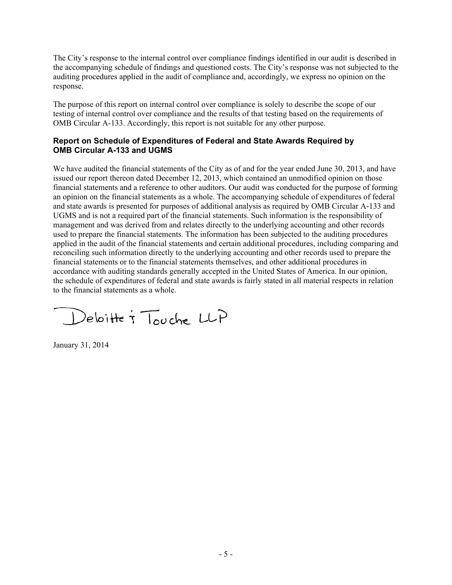The City's response to the internal control over compliance findings identified in our audit is described in the accompanying schedule of findings and questioned costs. The City's response was not subjected to the auditing procedures applied in the audit of compliance and, accordingly, we express no opinion on the response.

The purpose of this report on internal control over compliance is solely to describe the scope of our testing of internal control over compliance and the results of that testing based on the requirements of OMB Circular A-133. Accordingly, this report is not suitable for any other purpose.

## **Report on Schedule of Expenditures of Federal and State Awards Required by OMB Circular A-133 and UGMS**

We have audited the financial statements of the City as of and for the year ended June 30, 2013, and have issued our report thereon dated December 12, 2013, which contained an unmodified opinion on those financial statements and a reference to other auditors. Our audit was conducted for the purpose of forming an opinion on the financial statements as a whole. The accompanying schedule of expenditures of federal and state awards is presented for purposes of additional analysis as required by OMB Circular A-133 and UGMS and is not a required part of the financial statements. Such information is the responsibility of management and was derived from and relates directly to the underlying accounting and other records used to prepare the financial statements. The information has been subjected to the auditing procedures applied in the audit of the financial statements and certain additional procedures, including comparing and reconciling such information directly to the underlying accounting and other records used to prepare the financial statements or to the financial statements themselves, and other additional procedures in accordance with auditing standards generally accepted in the United States of America. In our opinion, the schedule of expenditures of federal and state awards is fairly stated in all material respects in relation to the financial statements as a whole.

Deloitte i Touche LLP

January 31, 2014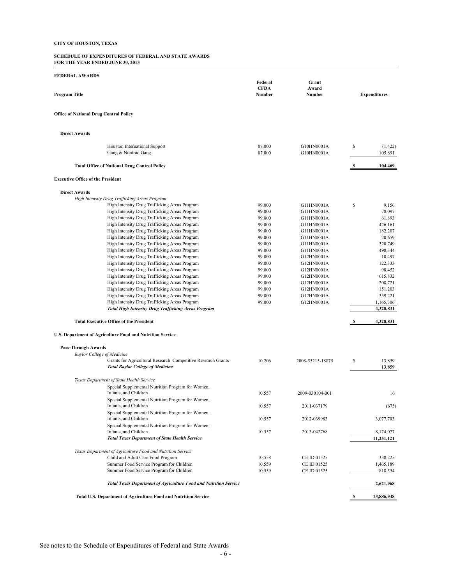### **SCHEDULE OF EXPENDITURES OF FEDERAL AND STATE AWARDS FOR THE YEAR ENDED JUNE 30, 2013**

| <b>FEDERAL AWARDS</b>                                                   |             |                  |    |                        |
|-------------------------------------------------------------------------|-------------|------------------|----|------------------------|
|                                                                         | Federal     | Grant            |    |                        |
|                                                                         | <b>CFDA</b> | Award            |    |                        |
| <b>Program Title</b>                                                    | Number      | <b>Number</b>    |    | <b>Expenditures</b>    |
|                                                                         |             |                  |    |                        |
| <b>Office of National Drug Control Policy</b>                           |             |                  |    |                        |
|                                                                         |             |                  |    |                        |
| <b>Direct Awards</b>                                                    |             |                  |    |                        |
| Houston International Support                                           | 07.000      | G10HN0001A       | \$ | (1, 422)               |
| Gang & Nontrad Gang                                                     | 07.000      | G10HN0001A       |    | 105,891                |
| <b>Total Office of National Drug Control Policy</b>                     |             |                  | S  | 104,469                |
| <b>Executive Office of the President</b>                                |             |                  |    |                        |
| <b>Direct Awards</b>                                                    |             |                  |    |                        |
| High Intensity Drug Trafficking Areas Program                           |             |                  |    |                        |
| High Intensity Drug Trafficking Areas Program                           | 99.000      | G11HN0001A       | \$ | 9,156                  |
| High Intensity Drug Trafficking Areas Program                           | 99.000      | G11HN0001A       |    | 78,097                 |
| High Intensity Drug Trafficking Areas Program                           | 99.000      | G11HN0001A       |    | 61,893                 |
| High Intensity Drug Trafficking Areas Program                           | 99.000      | G11HN0001A       |    | 426,161                |
| High Intensity Drug Trafficking Areas Program                           | 99.000      | G11HN0001A       |    | 182,207                |
| High Intensity Drug Trafficking Areas Program                           | 99.000      | G11HN0001A       |    | 20,659                 |
| High Intensity Drug Trafficking Areas Program                           | 99.000      | G11HN0001A       |    | 320,749                |
| High Intensity Drug Trafficking Areas Program                           | 99.000      | G11HN0001A       |    | 498,344                |
| High Intensity Drug Trafficking Areas Program                           | 99.000      | G12HN0001A       |    | 10,497                 |
| High Intensity Drug Trafficking Areas Program                           | 99.000      | G12HN0001A       |    | 122,333                |
| High Intensity Drug Trafficking Areas Program                           | 99.000      | G12HN0001A       |    | 98,452                 |
| High Intensity Drug Trafficking Areas Program                           | 99.000      | G12HN0001A       |    | 615,832                |
| High Intensity Drug Trafficking Areas Program                           | 99.000      | G12HN0001A       |    | 208,721                |
| High Intensity Drug Trafficking Areas Program                           | 99.000      | G12HN0001A       |    | 151,203                |
| High Intensity Drug Trafficking Areas Program                           | 99.000      | G12HN0001A       |    | 359,221                |
| High Intensity Drug Trafficking Areas Program                           | 99.000      | G12HN0001A       |    |                        |
| <b>Total High Intensity Drug Trafficking Areas Program</b>              |             |                  |    | 1,165,306<br>4,328,831 |
|                                                                         |             |                  |    |                        |
| <b>Total Executive Office of the President</b>                          |             |                  | S  | 4,328,831              |
| U.S. Department of Agriculture Food and Nutrition Service               |             |                  |    |                        |
| <b>Pass-Through Awards</b>                                              |             |                  |    |                        |
| <b>Baylor College of Medicine</b>                                       |             |                  |    |                        |
| Grants for Agricultural Research Competitive Research Grants            | 10.206      | 2008-55215-18875 | S. | 13,859                 |
| <b>Total Baylor College of Medicine</b>                                 |             |                  |    | 13,859                 |
| Texas Department of State Health Service                                |             |                  |    |                        |
| Special Supplemental Nutrition Program for Women,                       |             |                  |    |                        |
| Infants, and Children                                                   | 10.557      | 2009-030104-001  |    | 16                     |
| Special Supplemental Nutrition Program for Women,                       |             |                  |    |                        |
| Infants, and Children                                                   | 10.557      | 2011-037179      |    | (675)                  |
| Special Supplemental Nutrition Program for Women,                       |             |                  |    |                        |
| Infants, and Children                                                   | 10.557      | 2012-039983      |    | 3,077,703              |
| Special Supplemental Nutrition Program for Women,                       |             |                  |    |                        |
| Infants, and Children                                                   | 10.557      | 2013-042768      |    | 8,174,077              |
| <b>Total Texas Department of State Health Service</b>                   |             |                  |    | 11,251,121             |
| Texas Department of Agriculture Food and Nutrition Service              |             |                  |    |                        |
| Child and Adult Care Food Program                                       | 10.558      | CE ID 01525      |    | 338,225                |
| Summer Food Service Program for Children                                | 10.559      | CE ID 01525      |    | 1,465,189              |
| Summer Food Service Program for Children                                | 10.559      | CE ID 01525      |    | 818,554                |
| <b>Total Texas Department of Agriculture Food and Nutrition Service</b> |             |                  |    | 2,621,968              |
| <b>Total U.S. Department of Agriculture Food and Nutrition Service</b>  |             |                  |    | 13,886,948             |
|                                                                         |             |                  |    |                        |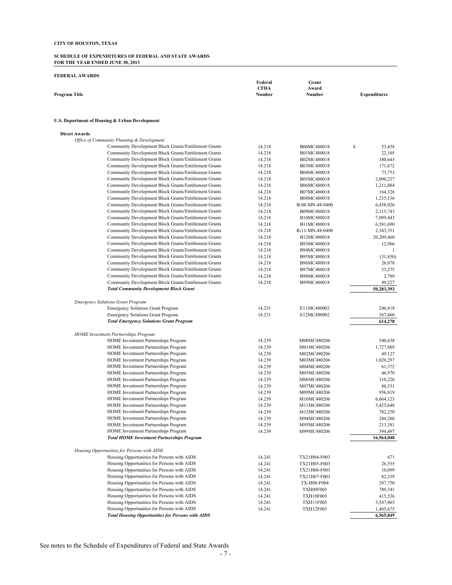#### **SCHEDULE OF EXPENDITURES OF FEDERAL AND STATE AWARDS FOR THE YEAR ENDED JUNE 30, 2013**

| <b>FEDERAL AWARDS</b>                                                                                          |                  |                              |                       |
|----------------------------------------------------------------------------------------------------------------|------------------|------------------------------|-----------------------|
|                                                                                                                | Federal          | Grant                        |                       |
|                                                                                                                | <b>CFDA</b>      | Award                        |                       |
| Program Title                                                                                                  | Number           | Number                       | <b>Expenditures</b>   |
|                                                                                                                |                  |                              |                       |
| U.S. Department of Housing & Urban Development                                                                 |                  |                              |                       |
| <b>Direct Awards</b>                                                                                           |                  |                              |                       |
| Office of Community Planning & Development                                                                     |                  |                              |                       |
| Community Development Block Grants/Entitlement Grants                                                          | 14.218           | B00MC480018                  | \$<br>53,438          |
| Community Development Block Grants/Entitlement Grants                                                          | 14.218           | B01MC480018                  | 22,105                |
| Community Development Block Grants/Entitlement Grants                                                          | 14.218           | B02MC480018                  | 380,643               |
| Community Development Block Grants/Entitlement Grants<br>Community Development Block Grants/Entitlement Grants | 14.218<br>14.218 | B03MC480018                  | 171,672               |
| Community Development Block Grants/Entitlement Grants                                                          | 14.218           | B04MC480018<br>B05MC480018   | 73,753<br>2,090,237   |
| Community Development Block Grants/Entitlement Grants                                                          | 14.218           | B06MC480018                  | 1,211,884             |
| Community Development Block Grants/Entitlement Grants                                                          | 14.218           | B07MC480018                  | 164,326               |
| Community Development Block Grants/Entitlement Grants                                                          | 14.218           | B08MC480018                  | 1,235,136             |
| Community Development Block Grants/Entitlement Grants                                                          | 14.218           | B-08-MN-48-0400              | 6,438,026             |
| Community Development Block Grants/Entitlement Grants                                                          | 14.218           | B09MC480018                  | 2,115,743             |
| Community Development Block Grants/Entitlement Grants                                                          | 14.218           | B10MC480018                  | 7,099,443             |
| Community Development Block Grants/Entitlement Grants                                                          | 14.218           | B11MC480018                  | 6,581,690             |
| Community Development Block Grants/Entitlement Grants                                                          | 14.218           | B-11-MN-48-0400              | 2,343,351             |
| Community Development Block Grants/Entitlement Grants                                                          | 14.218           | B12MC480018                  | 20,209,460            |
| Community Development Block Grants/Entitlement Grants                                                          | 14.218           | B93MC480018                  | 12,966                |
| Community Development Block Grants/Entitlement Grants                                                          | 14.218           | B94MC480018                  | 1                     |
| Community Development Block Grants/Entitlement Grants                                                          | 14.218           | B95MC480018                  | (31, 850)             |
| Community Development Block Grants/Entitlement Grants                                                          | 14.218           | B96MC480018                  | 26,078                |
| Community Development Block Grants/Entitlement Grants                                                          | 14.218           | B97MC480018                  | 33,275                |
| Community Development Block Grants/Entitlement Grants                                                          | 14.218<br>14.218 | B98MC480018<br>B99MC480018   | 2,789                 |
| Community Development Block Grants/Entitlement Grants<br><b>Total Community Development Block Grant</b>        |                  |                              | 49,227<br>50,283,393  |
|                                                                                                                |                  |                              |                       |
| <b>Emergency Solutions Grant Program</b><br><b>Emergency Solutions Grant Program</b>                           | 14.231           | E11MC480002                  | 246,818               |
| Emergency Solutions Grant Program                                                                              | 14.231           | E12MC480002                  | 367,460               |
| <b>Total Emergency Solutions Grant Program</b>                                                                 |                  |                              | 614,278               |
| <b>HOME</b> Investment Partnerships Program                                                                    |                  |                              |                       |
| HOME Investment Partnerships Program                                                                           | 14.239           | M00MC480206                  | 540,638               |
| HOME Investment Partnerships Program                                                                           | 14.239           | M01MC480206                  | 1,727,889             |
| HOME Investment Partnerships Program                                                                           | 14.239           | M02MC480206                  | 49,127                |
| HOME Investment Partnerships Program                                                                           | 14.239           | M03MC480206                  | 1,020,297             |
| HOME Investment Partnerships Program                                                                           | 14.239           | M04MC480206                  | 61,372                |
| HOME Investment Partnerships Program                                                                           | 14.239           | M05MC480206                  | 46,970                |
| HOME Investment Partnerships Program                                                                           | 14.239           | M06MC480206                  | 310,226               |
| HOME Investment Partnerships Program                                                                           | 14.239           | M07MC480206                  | 88,531                |
| HOME Investment Partnerships Program                                                                           | 14.239           | M09MC480206                  | 956,819               |
| HOME Investment Partnerships Program                                                                           | 14.239           | M10MC480206                  | 6,664,123             |
| HOME Investment Partnerships Program                                                                           | 14.239           | M11MC480206                  | 3,423,648             |
| HOME Investment Partnerships Program                                                                           | 14.239           | M12MC480206                  | 782,250               |
| HOME Investment Partnerships Program                                                                           | 14.239           | M94MC480206                  | 284,280               |
| HOME Investment Partnerships Program                                                                           | 14.239           | M95MC480206                  | 213,381               |
| HOME Investment Partnerships Program<br><b>Total HOME Investment Partnerships Program</b>                      | 14.239           | M99MC480206                  | 394,497<br>16,564,048 |
|                                                                                                                |                  |                              |                       |
| Housing Opportunities for Persons with AIDS<br>Housing Opportunities for Persons with AIDS                     |                  |                              |                       |
| Housing Opportunities for Persons with AIDS                                                                    | 14.241<br>14.241 | TX21H04-F003<br>TX21H05-F003 | 671<br>26,555         |
| Housing Opportunities for Persons with AIDS                                                                    | 14.241           | TX21H06-F003                 | 10,099                |
| Housing Opportunities for Persons with AIDS                                                                    | 14.241           | TX21H07-F003                 | 82,359                |
| Housing Opportunities for Persons with AIDS                                                                    | 14.241           | <b>TX-H08-F004</b>           | 287,750               |
| Housing Opportunities for Persons with AIDS                                                                    | 14.241           | <b>TXH09F003</b>             | 789,341               |
| Housing Opportunities for Persons with AIDS                                                                    | 14.241           | <b>TXH10F003</b>             | 415,536               |
| Housing Opportunities for Persons with AIDS                                                                    | 14.241           | <b>TXH11F003</b>             | 3,547,063             |
| Housing Opportunities for Persons with AIDS                                                                    | 14.241           | <b>TXH12F003</b>             | 1,405,675             |

See notes to the Schedule of Expenditures of Federal and State Awards

*Total Housing Opportunities for Persons with AIDS* **6,565,049**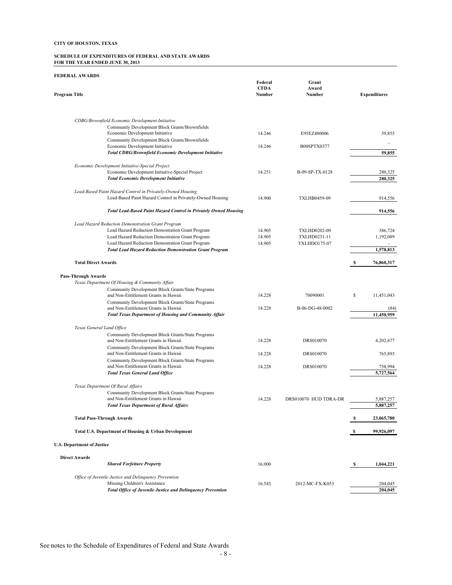### **SCHEDULE OF EXPENDITURES OF FEDERAL AND STATE AWARDS FOR THE YEAR ENDED JUNE 30, 2013**

|               | FEDERAL AWARDS                                                                                                           |                                  |                                 |    |                     |
|---------------|--------------------------------------------------------------------------------------------------------------------------|----------------------------------|---------------------------------|----|---------------------|
| Program Title |                                                                                                                          | Federal<br><b>CFDA</b><br>Number | Grant<br>Award<br><b>Number</b> |    | <b>Expenditures</b> |
|               |                                                                                                                          |                                  |                                 |    |                     |
|               | CDBG/Brownfield Economic Development Initiative                                                                          |                                  |                                 |    |                     |
|               | Community Development Block Grants/Brownfields<br>Economic Development Initiative                                        | 14.246                           | E95EZ480006                     |    | 59,855              |
|               | Community Development Block Grants/Brownfields                                                                           |                                  |                                 |    |                     |
|               | Economic Development Initiative                                                                                          | 14.246                           | B00SPTX0377                     |    |                     |
|               | Total CDBG/Brownfield Economic Development Initiative                                                                    |                                  |                                 |    | 59,855              |
|               |                                                                                                                          |                                  |                                 |    |                     |
|               | Economic Development Initiative-Special Project                                                                          |                                  |                                 |    |                     |
|               | Economic Development Initiative-Special Project                                                                          | 14.251                           | B-09-SP-TX-0128                 |    | 280,325             |
|               | <b>Total Economic Development Initiative</b>                                                                             |                                  |                                 |    | 280,325             |
|               |                                                                                                                          |                                  |                                 |    |                     |
|               | Lead-Based Paint Hazard Control in Privately-Owned Housing<br>Lead-Based Paint Hazard Control in Privately-Owned Housing | 14.900                           | <b>TXLHB0459-09</b>             |    | 914,556             |
|               |                                                                                                                          |                                  |                                 |    |                     |
|               | <b>Total Lead-Based Paint Hazard Control in Privately Owned Housing</b>                                                  |                                  |                                 |    | 914,556             |
|               |                                                                                                                          |                                  |                                 |    |                     |
|               | Lead Hazard Reduction Demonstration Grant Program                                                                        |                                  |                                 |    |                     |
|               | Lead Hazard Reduction Demostration Grant Program                                                                         | 14.905                           | <b>TXLHD0202-09</b>             |    | 386,724             |
|               | Lead Hazard Reduction Demostration Grant Program                                                                         | 14.905                           | TXLHD0231-11                    |    | 1,192,089           |
|               | Lead Hazard Reduction Demostration Grant Program                                                                         | 14.905                           | <b>TXLHDO175-07</b>             |    |                     |
|               | <b>Total Lead Hazard Reduction Demonstration Grant Program</b>                                                           |                                  |                                 |    | 1,578,813           |
|               | <b>Total Direct Awards</b>                                                                                               |                                  |                                 | S  | 76,860,317          |
|               |                                                                                                                          |                                  |                                 |    |                     |
|               | <b>Pass-Through Awards</b>                                                                                               |                                  |                                 |    |                     |
|               | Texas Department Of Housing & Community Affair                                                                           |                                  |                                 |    |                     |
|               | Community Development Block Grants/State Programs<br>and Non-Entitlement Grants in Hawaii                                | 14.228                           | 70090001                        | \$ | 11,451,043          |
|               | Community Development Block Grants/State Programs                                                                        |                                  |                                 |    |                     |
|               | and Non-Entitlement Grants in Hawaii                                                                                     | 14.228                           | B-06-DG-48-0002                 |    | (84)                |
|               | <b>Total Texas Department of Housing and Community Affair</b>                                                            |                                  |                                 |    | 11,450,959          |
|               |                                                                                                                          |                                  |                                 |    |                     |
|               | Texas General Land Office                                                                                                |                                  |                                 |    |                     |
|               | Community Development Block Grants/State Programs                                                                        |                                  |                                 |    |                     |
|               | and Non-Entitlement Grants in Hawaii                                                                                     | 14.228                           | DRS010070                       |    | 4,202,677           |
|               | Community Development Block Grants/State Programs<br>and Non-Entitlement Grants in Hawaii                                | 14.228                           | DRS010070                       |    | 765,893             |
|               | Community Development Block Grants/State Programs                                                                        |                                  |                                 |    |                     |
|               | and Non-Entitlement Grants in Hawaii                                                                                     | 14.228                           | DRS010070                       |    | 758,994             |
|               | <b>Total Texas General Land Office</b>                                                                                   |                                  |                                 |    | 5,727,564           |
|               |                                                                                                                          |                                  |                                 |    |                     |
|               | Texas Department Of Rural Affairs                                                                                        |                                  |                                 |    |                     |
|               | Community Development Block Grants/State Programs                                                                        |                                  |                                 |    |                     |
|               | and Non-Entitlement Grants in Hawaii                                                                                     | 14.228                           | DRS010070 HUD TDRA-DR           |    | 5,887,257           |
|               | <b>Total Texas Department of Rural Affairs</b>                                                                           |                                  |                                 |    | 5,887,257           |
|               | <b>Total Pass-Through Awards</b>                                                                                         |                                  |                                 | S  | 23,065,780          |
|               |                                                                                                                          |                                  |                                 |    |                     |
|               | Total U.S. Department of Housing & Urban Development                                                                     |                                  |                                 | S  | 99,926,097          |
|               | <b>U.S. Department of Justice</b>                                                                                        |                                  |                                 |    |                     |
|               | <b>Direct Awards</b>                                                                                                     |                                  |                                 |    |                     |
|               | <b>Shared Forfeiture Property</b>                                                                                        | 16.000                           |                                 | S  | 1,044,221           |
|               |                                                                                                                          |                                  |                                 |    |                     |
|               | Office of Juvenile Justice and Delinquency Prevention                                                                    |                                  |                                 |    |                     |
|               | Missing Children's Assistance                                                                                            | 16.543                           | 2012-MC-FX-K053                 |    | 204,045             |
|               | <b>Total Office of Juvenile Justice and Delinquency Prevention</b>                                                       |                                  |                                 |    | 204,045             |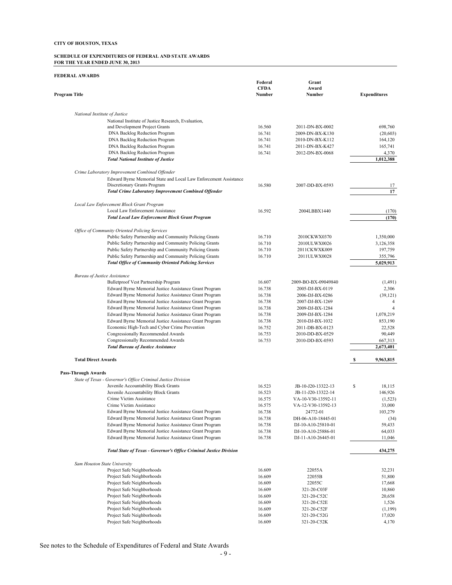#### **SCHEDULE OF EXPENDITURES OF FEDERAL AND STATE AWARDS FOR THE YEAR ENDED JUNE 30, 2013**

|               | <b>FEDERAL AWARDS</b>                                                                                              |                                         |                                          |    |                      |
|---------------|--------------------------------------------------------------------------------------------------------------------|-----------------------------------------|------------------------------------------|----|----------------------|
| Program Title |                                                                                                                    | Federal<br><b>CFDA</b><br><b>Number</b> | Grant<br>Award<br><b>Number</b>          |    | <b>Expenditures</b>  |
|               | National Institute of Justice                                                                                      |                                         |                                          |    |                      |
|               | National Institute of Justice Research, Evaluation,                                                                |                                         |                                          |    |                      |
|               | and Development Project Grants                                                                                     | 16.560                                  | 2011-DN-BX-0002                          |    | 698,760              |
|               | DNA Backlog Reduction Program                                                                                      | 16.741                                  | 2009-DN-BX-K130                          |    | (20, 603)            |
|               | DNA Backlog Reduction Program                                                                                      | 16.741                                  | 2010-DN-BX-K112                          |    | 164,120              |
|               | DNA Backlog Reduction Program                                                                                      | 16.741                                  | 2011-DN-BX-K427                          |    | 165,741              |
|               | DNA Backlog Reduction Program                                                                                      | 16.741                                  | 2012-DN-BX-0068                          |    | 4,370                |
|               | <b>Total National Institute of Justice</b>                                                                         |                                         |                                          |    | 1,012,388            |
|               | Crime Laboratory Improvement Combined Offender                                                                     |                                         |                                          |    |                      |
|               | Edward Byrne Memorial State and Local Law Enforcement Assistance                                                   |                                         |                                          |    |                      |
|               | Discretionary Grants Program                                                                                       | 16.580                                  | 2007-DD-BX-0593                          |    | 17                   |
|               | <b>Total Crime Laboratory Improvement Combined Offender</b>                                                        |                                         |                                          |    | 17                   |
|               | Local Law Enforcement Block Grant Program                                                                          |                                         |                                          |    |                      |
|               | Local Law Enforcement Assistance                                                                                   | 16.592                                  | 2004LBBX1440                             |    | (170)                |
|               | <b>Total Local Law Enforcement Block Grant Program</b>                                                             |                                         |                                          |    | (170)                |
|               | Office of Community Oriented Policing Services                                                                     |                                         |                                          |    |                      |
|               | Public Safety Partnership and Community Policing Grants<br>Public Safety Partnership and Community Policing Grants | 16.710<br>16.710                        | 2010CKWX0370                             |    | 1,350,000            |
|               | Public Safety Partnership and Community Policing Grants                                                            | 16.710                                  | 2010ULWX0026<br>2011CKWXK009             |    | 3,126,358<br>197,759 |
|               | Public Safety Partnership and Community Policing Grants                                                            | 16.710                                  | 2011ULWX0028                             |    | 355,796              |
|               | <b>Total Office of Community Oriented Policing Services</b>                                                        |                                         |                                          |    | 5,029,913            |
|               | <b>Bureau of Justice Assistance</b>                                                                                |                                         |                                          |    |                      |
|               | Bulletproof Vest Partnership Program                                                                               | 16.607                                  | 2009-BO-BX-09049840                      |    | (1, 491)             |
|               | Edward Byrne Memorial Justice Assistance Grant Program                                                             | 16.738                                  | 2005-DJ-BX-0119                          |    | 2,306                |
|               | Edward Byrne Memorial Justice Assistance Grant Program                                                             | 16.738                                  | 2006-DJ-BX-0286                          |    | (39, 121)            |
|               | Edward Byrne Memorial Justice Assistance Grant Program                                                             | 16.738                                  | 2007-DJ-BX-1269                          |    | 4                    |
|               | Edward Byrne Memorial Justice Assistance Grant Program                                                             | 16.738                                  | 2009-DJ-BX-1284                          |    | $\overline{4}$       |
|               | Edward Byrne Memorial Justice Assistance Grant Program                                                             | 16.738                                  | 2009-DJ-BX-1284                          |    | 1,078,219            |
|               | Edward Byrne Memorial Justice Assistance Grant Program                                                             | 16.738                                  | 2010-DJ-BX-1032                          |    | 853,190              |
|               | Economic High-Tech and Cyber Crime Prevention                                                                      | 16.752                                  | 2011-DB-BX-0123                          |    | 22,528               |
|               | Congressionally Recommended Awards                                                                                 | 16.753                                  | 2010-DD-BX-0529                          |    | 90,449               |
|               | Congressionally Recommended Awards                                                                                 | 16.753                                  | 2010-DD-BX-0593                          |    | 667,313              |
|               | <b>Total Bureau of Justice Assistance</b>                                                                          |                                         |                                          |    | 2,673,401            |
|               | <b>Total Direct Awards</b>                                                                                         |                                         |                                          | S  | 9,963,815            |
|               | <b>Pass-Through Awards</b>                                                                                         |                                         |                                          |    |                      |
|               | State of Texas - Governor's Office Criminal Justice Division<br>Juvenile Accountability Block Grants               |                                         |                                          |    |                      |
|               | Juvenile Accountability Block Grants                                                                               | 16.523<br>16.523                        | JB-10-J20-13322-13<br>JB-11-J20-13322-14 | \$ | 18,115<br>146,926    |
|               | Crime Victim Assistance                                                                                            | 16.575                                  | VA-10-V30-13592-11                       |    | (1, 523)             |
|               | Crime Victim Assistance                                                                                            | 16.575                                  | VA-12-V30-13592-13                       |    | 33,000               |
|               | Edward Byrne Memorial Justice Assistance Grant Program                                                             | 16.738                                  | 24772-01                                 |    | 103,279              |
|               | Edward Byrne Memorial Justice Assistance Grant Program                                                             | 16.738                                  | DH-06-A10-18445-01                       |    | (34)                 |
|               | Edward Byrne Memorial Justice Assistance Grant Program                                                             | 16.738                                  | DJ-10-A10-25810-01                       |    | 59,433               |
|               | Edward Byrne Memorial Justice Assistance Grant Program                                                             | 16.738                                  | DJ-10-A10-25886-01                       |    | 64,033               |
|               | Edward Byrne Memorial Justice Assistance Grant Program                                                             | 16.738                                  | DJ-11-A10-26445-01                       |    | 11,046               |
|               | <b>Total State of Texas - Governor's Office Criminal Justice Division</b>                                          |                                         |                                          |    | 434,275              |
|               | Sam Houston State University                                                                                       |                                         |                                          |    |                      |
|               | Project Safe Neighborhoods                                                                                         | 16.609                                  | 22055A                                   |    | 32,231               |
|               | Project Safe Neighborhoods                                                                                         | 16.609                                  | 22055B                                   |    | 51,800               |
|               | Project Safe Neighborhoods                                                                                         | 16.609                                  | 22055C                                   |    | 17,668               |
|               | Project Safe Neighborhoods                                                                                         | 16.609                                  | 321-20-C03F                              |    | 10,860               |
|               | Project Safe Neighborhoods                                                                                         | 16.609                                  | 321-20-C52C                              |    | 20,658               |
|               | Project Safe Neighborhoods                                                                                         | 16.609                                  | 321-20-C52E                              |    | 1,526                |
|               | Project Safe Neighborhoods                                                                                         | 16.609                                  | 321-20-C52F                              |    | (1, 199)             |
|               | Project Safe Neighborhoods                                                                                         | 16.609                                  | 321-20-C52G                              |    | 17,020               |
|               | Project Safe Neighborhoods                                                                                         | 16.609                                  | 321-20-C52K                              |    | 4,170                |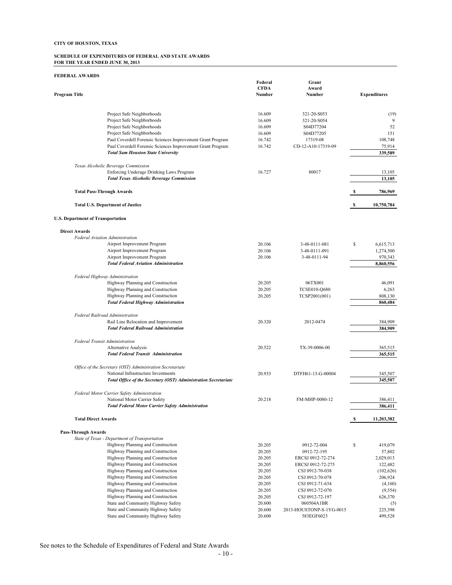#### **SCHEDULE OF EXPENDITURES OF FEDERAL AND STATE AWARDS FOR THE YEAR ENDED JUNE 30, 2013**

| <b>FEDERAL AWARDS</b>                                                                                                    |                                  |                                        |              |                      |
|--------------------------------------------------------------------------------------------------------------------------|----------------------------------|----------------------------------------|--------------|----------------------|
| <b>Program Title</b>                                                                                                     | Federal<br><b>CFDA</b><br>Number | Grant<br>Award<br>Number               |              | <b>Expenditures</b>  |
|                                                                                                                          |                                  |                                        |              |                      |
| Project Safe Neighborhoods                                                                                               | 16.609                           | 321-20-S053                            |              | (19)                 |
| Project Safe Neighborhoods                                                                                               | 16.609                           | 321-20-S054                            |              | 9                    |
| Project Safe Neighborhoods                                                                                               | 16.609                           | S04D77204                              |              | 52                   |
| Project Safe Neighborhoods                                                                                               | 16.609                           | S04D77205                              |              | 151                  |
| Paul Coverdell Forensic Sciences Improvement Grant Program<br>Paul Coverdell Forensic Sciences Improvement Grant Program | 16.742<br>16.742                 | 17319-08<br>CD-12-A10-17319-09         |              | 108,748<br>75,914    |
| <b>Total Sam Houston State University</b>                                                                                |                                  |                                        |              | 339.589              |
| Texas Alcoholic Beverage Commission                                                                                      |                                  |                                        |              |                      |
| Enforcing Underage Drinking Laws Program                                                                                 | 16.727                           | 80017                                  |              | 13,105               |
| <b>Total Texas Alcoholic Beverage Commission</b>                                                                         |                                  |                                        |              | 13,105               |
| <b>Total Pass-Through Awards</b>                                                                                         |                                  |                                        | S            | 786,969              |
| <b>Total U.S. Department of Justice</b>                                                                                  |                                  |                                        | -S           | 10,750,784           |
| <b>U.S. Department of Transportation</b>                                                                                 |                                  |                                        |              |                      |
|                                                                                                                          |                                  |                                        |              |                      |
| <b>Direct Awards</b><br><b>Federal Aviation Administration</b>                                                           |                                  |                                        |              |                      |
| Airport Improvement Program                                                                                              | 20.106                           | 3-48-0111-081                          | \$           | 6,615,713            |
| Airport Improvement Program                                                                                              | 20.106                           | 3-48-0111-091                          |              | 1,274,500            |
| Airport Improvement Program                                                                                              | 20.106                           | 3-48-0111-94                           |              | 970,343              |
| <b>Total Federal Aviation Administration</b>                                                                             |                                  |                                        |              | 8,860,556            |
| Federal Highway Administration                                                                                           |                                  |                                        |              |                      |
| Highway Planning and Construction                                                                                        | 20.205                           | 06TX001                                |              | 46,091               |
| Highway Planning and Construction                                                                                        | 20.205                           | <b>TCSE010-Q680</b>                    |              | 6,263                |
| Highway Planning and Construction                                                                                        | 20.205                           | TCSP2001(001)                          |              | 808,130              |
| <b>Total Federal Highway Administration</b>                                                                              |                                  |                                        |              | 860,484              |
| Federal Railroad Administration                                                                                          |                                  |                                        |              |                      |
| Rail Line Relocation and Improvement<br><b>Total Federal Railroad Administration</b>                                     | 20.320                           | 2012-0474                              |              | 384,909              |
|                                                                                                                          |                                  |                                        |              | 384,909              |
| <b>Federal Transit Administration</b>                                                                                    |                                  |                                        |              |                      |
| Alternative Analysis<br><b>Total Federal Transit Administration</b>                                                      | 20.522                           | TX-39-0006-00                          |              | 365,515<br>365,515   |
|                                                                                                                          |                                  |                                        |              |                      |
| Office of the Secretary (OST) Administration Secretariate<br>National Infrastructure Investments                         | 20.933                           | DTFH61-13-G-00004                      |              | 345,507              |
| Total Office of the Secretary (OST) Administration Secretariate                                                          |                                  |                                        |              | 345,507              |
|                                                                                                                          |                                  |                                        |              |                      |
| Federal Motor Carrier Safety Administration                                                                              |                                  |                                        |              |                      |
| National Motor Carrier Safety                                                                                            | 20.218                           | FM-MHP-0080-12                         |              | 386,411              |
| <b>Total Federal Motor Carrier Safety Administration</b>                                                                 |                                  |                                        |              | 386,411              |
| <b>Total Direct Awards</b>                                                                                               |                                  |                                        | S            | 11,203,382           |
| <b>Pass-Through Awards</b>                                                                                               |                                  |                                        |              |                      |
| State of Texas - Department of Transportation                                                                            |                                  |                                        |              |                      |
| Highway Planning and Construction                                                                                        | 20.205                           | 0912-72-004                            | $\mathbb{S}$ | 419,079              |
| Highway Planning and Construction                                                                                        | 20.205                           | 0912-72-195                            |              | 57,802               |
| Highway Planning and Construction<br>Highway Planning and Construction                                                   | 20.205<br>20.205                 | ERCSJ 0912-72-274<br>ERCSJ 0912-72-275 |              | 2,029,013<br>122,482 |
| Highway Planning and Construction                                                                                        | 20.205                           | CSJ 0912-70-038                        |              | (102, 626)           |
| Highway Planning and Construction                                                                                        | 20.205                           | CSJ 0912-70-078                        |              | 206,924              |
| Highway Planning and Construction                                                                                        | 20.205                           | CSJ 0912-71-634                        |              | (4,160)              |
| Highway Planning and Construction                                                                                        | 20.205                           | CSJ 0912-72-070                        |              | (9, 554)             |
| Highway Planning and Construction                                                                                        | 20.205                           | CSJ 0912-72-197                        |              | 626,370              |
| State and Community Highway Safety                                                                                       | 20.600                           | 060504A1BR                             |              | (5)                  |
| State and Community Highway Safety                                                                                       | 20.600                           | 2013-HOUSTONP-S-1YG-0015               |              | 225,398              |
| State and Community Highway Safety                                                                                       | 20.600                           | 583EGF6023                             |              | 499,528              |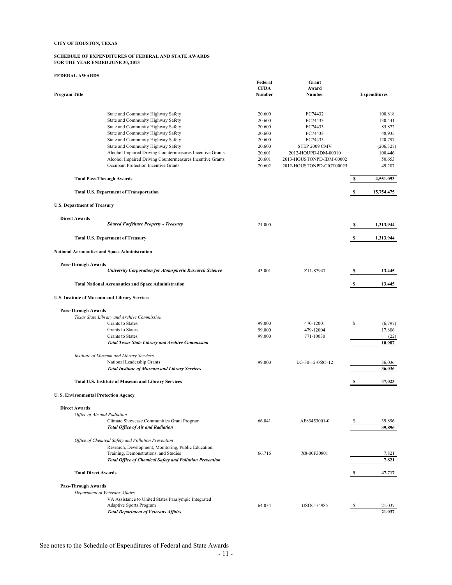#### **SCHEDULE OF EXPENDITURES OF FEDERAL AND STATE AWARDS FOR THE YEAR ENDED JUNE 30, 2013**

| <b>FEDERAL AWARDS</b>                       |                                                                                                 |                                  |                                       |    |                       |
|---------------------------------------------|-------------------------------------------------------------------------------------------------|----------------------------------|---------------------------------------|----|-----------------------|
| <b>Program Title</b>                        |                                                                                                 | Federal<br><b>CFDA</b><br>Number | Grant<br>Award<br>Number              |    | <b>Expenditures</b>   |
|                                             |                                                                                                 |                                  |                                       |    |                       |
|                                             | State and Community Highway Safety                                                              | 20.600                           | FC74432                               |    | 100,818               |
|                                             | State and Community Highway Safety                                                              | 20.600                           | FC74433                               |    | 130,441               |
|                                             | State and Community Highway Safety                                                              | 20.600                           | FC74433                               |    | 85,872                |
|                                             | State and Community Highway Safety                                                              | 20.600                           | FC74433                               |    | 48,935                |
|                                             | State and Community Highway Safety                                                              | 20.600<br>20.600                 | FC74433                               |    | 120,797               |
|                                             | State and Community Highway Safety<br>Alcohol Impaired Driving Countermeasures Incentive Grants | 20.601                           | STEP 2009 CMV<br>2012-HOUPD-IDM-00010 |    | (206, 327)<br>100,446 |
|                                             | Alcohol Impaired Driving Countermeasures Incentive Grants                                       | 20.601                           | 2013-HOUSTONPD-IDM-00002              |    | 50,653                |
|                                             | Occupant Protection Incentive Grants                                                            | 20.602                           | 2012-HOUSTONPD-CIOT00025              |    | 49,207                |
|                                             |                                                                                                 |                                  |                                       |    |                       |
|                                             | <b>Total Pass-Through Awards</b>                                                                |                                  |                                       | S  | 4,551,093             |
|                                             | <b>Total U.S. Department of Transportation</b>                                                  |                                  |                                       | S  | 15,754,475            |
| <b>U.S. Department of Treasury</b>          |                                                                                                 |                                  |                                       |    |                       |
| <b>Direct Awards</b>                        |                                                                                                 |                                  |                                       |    |                       |
|                                             | <b>Shared Forfeiture Property - Treasury</b>                                                    | 21.000                           |                                       | S  | 1,313,944             |
|                                             | <b>Total U.S. Department of Treasury</b>                                                        |                                  |                                       | -S | 1,313,944             |
|                                             | <b>National Aeronautics and Space Administration</b>                                            |                                  |                                       |    |                       |
| <b>Pass-Through Awards</b>                  |                                                                                                 |                                  |                                       |    |                       |
|                                             | <b>University Corporation for Atomspheric Research Science</b>                                  | 43.001                           | Z11-87947                             | S  | 13,445                |
|                                             | <b>Total National Aeronautics and Space Administration</b>                                      |                                  |                                       | S. | 13,445                |
|                                             | U.S. Institute of Museum and Library Services                                                   |                                  |                                       |    |                       |
| <b>Pass-Through Awards</b>                  |                                                                                                 |                                  |                                       |    |                       |
|                                             | Texas State Library and Archive Commission                                                      |                                  |                                       |    |                       |
|                                             | Grants to States                                                                                | 99.000                           | 470-12001                             | \$ | (6,797)               |
|                                             | Grants to States                                                                                | 99.000                           | 479-12004                             |    | 17,806                |
|                                             | Grants to States                                                                                | 99.000                           | 771-10030                             |    | (22)                  |
|                                             | <b>Total Texas State Library and Archive Commission</b>                                         |                                  |                                       |    | 10,987                |
|                                             | Institute of Museum and Library Services                                                        |                                  |                                       |    |                       |
|                                             | National Leadership Grants                                                                      | 99.000                           | LG-30-12-0685-12                      |    | 36,036                |
|                                             | <b>Total Institute of Museum and Library Services</b>                                           |                                  |                                       |    | 36,036                |
|                                             | <b>Total U.S. Institute of Museum and Library Services</b>                                      |                                  |                                       | S. | 47,023                |
| <b>U.S. Environmental Protection Agency</b> |                                                                                                 |                                  |                                       |    |                       |
| <b>Direct Awards</b>                        |                                                                                                 |                                  |                                       |    |                       |
|                                             | Office of Air and Radiation                                                                     |                                  |                                       |    |                       |
|                                             | Climate Showcase Communities Grant Program                                                      | 66.041                           | AF83453001-0                          |    | 39.896                |
|                                             | <b>Total Office of Air and Radiation</b>                                                        |                                  |                                       |    | 39,896                |
|                                             | Office of Chemical Safety and Pollution Prevention                                              |                                  |                                       |    |                       |
|                                             | Research, Development, Monitoring, Public Education,                                            |                                  |                                       |    |                       |
|                                             | Training, Demonstrations, and Studies                                                           | 66.716                           | X8-00F30801                           |    | 7,821                 |
|                                             | <b>Total Office of Chemical Safety and Pollution Prevention</b>                                 |                                  |                                       |    | 7,821                 |
| <b>Total Direct Awards</b>                  |                                                                                                 |                                  |                                       | s  | 47,717                |
| <b>Pass-Through Awards</b>                  |                                                                                                 |                                  |                                       |    |                       |
|                                             | Department of Veterans Affairs                                                                  |                                  |                                       |    |                       |
|                                             | VA Assistance to United States Paralympic Integrated                                            |                                  |                                       |    |                       |
|                                             | Adaptive Sports Program                                                                         | 64.034                           | <b>USOC-74985</b>                     | S. | 21,037                |
|                                             | <b>Total Department of Veterans Affairs</b>                                                     |                                  |                                       |    | 21,037                |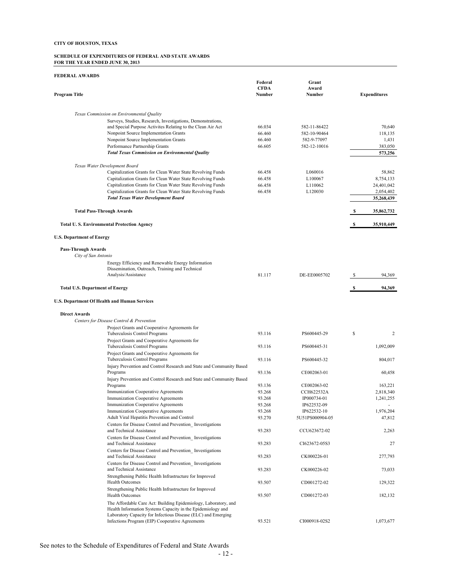#### **SCHEDULE OF EXPENDITURES OF FEDERAL AND STATE AWARDS FOR THE YEAR ENDED JUNE 30, 2013**

| <b>FEDERAL AWARDS</b>                                                                                                                                                                                                                                                                                    |                                         |                                                             |                                                              |
|----------------------------------------------------------------------------------------------------------------------------------------------------------------------------------------------------------------------------------------------------------------------------------------------------------|-----------------------------------------|-------------------------------------------------------------|--------------------------------------------------------------|
| Program Title                                                                                                                                                                                                                                                                                            | Federal<br><b>CFDA</b><br><b>Number</b> | Grant<br>Award<br>Number                                    | <b>Expenditures</b>                                          |
| Texas Commission on Environmental Quality                                                                                                                                                                                                                                                                |                                         |                                                             |                                                              |
| Surveys, Studies, Research, Investigations, Demonstrations,<br>and Special Purpose Activites Relating to the Clean Air Act<br>Nonpoint Source Implementation Grants<br>Nonpoint Source Implementation Grants<br>Performance Partnership Grants<br><b>Total Texas Commission on Environmental Quality</b> | 66.034<br>66.460<br>66.460<br>66.605    | 582-11-86422<br>582-10-90464<br>582-9-77097<br>582-12-10016 | 70,640<br>118,135<br>1,431<br>383,050<br>573,256             |
| Texas Water Development Board                                                                                                                                                                                                                                                                            |                                         |                                                             |                                                              |
| Capitalization Grants for Clean Water State Revolving Funds<br>Capitalization Grants for Clean Water State Revolving Funds<br>Capitalization Grants for Clean Water State Revolving Funds<br>Capitalization Grants for Clean Water State Revolving Funds<br><b>Total Texas Water Development Board</b>   | 66.458<br>66.458<br>66.458<br>66.458    | L060016<br>L100067<br>L110062<br>L120030                    | 58,862<br>8,754,133<br>24,401,042<br>2,054,402<br>35,268,439 |
| <b>Total Pass-Through Awards</b>                                                                                                                                                                                                                                                                         |                                         |                                                             | 35,862,732<br>s                                              |
| <b>Total U.S. Environmental Protection Agency</b>                                                                                                                                                                                                                                                        |                                         |                                                             | 35,910,449<br>S                                              |
| <b>U.S. Department of Energy</b>                                                                                                                                                                                                                                                                         |                                         |                                                             |                                                              |
| <b>Pass-Through Awards</b><br>City of San Antonio<br>Energy Efficiency and Renewable Energy Information                                                                                                                                                                                                  |                                         |                                                             |                                                              |
| Dissemination, Outreach, Training and Technical<br>Analysis/Assistance                                                                                                                                                                                                                                   | 81.117                                  | DE-EE0005702                                                | 94,369<br>S                                                  |
| <b>Total U.S. Department of Energy</b>                                                                                                                                                                                                                                                                   |                                         |                                                             | 94,369<br>S                                                  |
| U.S. Department Of Health and Human Services                                                                                                                                                                                                                                                             |                                         |                                                             |                                                              |
| <b>Direct Awards</b>                                                                                                                                                                                                                                                                                     |                                         |                                                             |                                                              |
| Centers for Disease Control & Prevention                                                                                                                                                                                                                                                                 |                                         |                                                             |                                                              |
| Project Grants and Cooperative Agreements for<br>Tuberculosis Control Programs                                                                                                                                                                                                                           | 93.116                                  | PS600445-29                                                 | \$<br>2                                                      |
| Project Grants and Cooperative Agreements for<br>Tuberculosis Control Programs                                                                                                                                                                                                                           | 93.116                                  | PS600445-31                                                 | 1,092,009                                                    |
| Project Grants and Cooperative Agreements for                                                                                                                                                                                                                                                            |                                         |                                                             |                                                              |
| Tuberculosis Control Programs<br>Injury Prevention and Control Research and State and Community Based                                                                                                                                                                                                    | 93.116                                  | PS600445-32                                                 | 804,017                                                      |
| Programs<br>Injury Prevention and Control Research and State and Community Based                                                                                                                                                                                                                         | 93.136                                  | CE002063-01                                                 | 60,458                                                       |
| Programs                                                                                                                                                                                                                                                                                                 | 93.136                                  | CE002063-02                                                 | 163,221                                                      |
| Immunization Cooperative Agreements                                                                                                                                                                                                                                                                      | 93.268                                  | CCH622532A                                                  | 2,818,340                                                    |
| Immunization Cooperative Agreements                                                                                                                                                                                                                                                                      | 93.268                                  | IP000734-01                                                 | 1,241,255                                                    |
| Immunization Cooperative Agreements<br>Immunization Cooperative Agreements                                                                                                                                                                                                                               | 93.268<br>93.268                        | IP622532-09<br>IP622532-10                                  | 1,976,204                                                    |
| Adult Viral Hepatitis Prevention and Control                                                                                                                                                                                                                                                             | 93.270                                  | 5U51PS000904-05                                             | 47,812                                                       |
| Centers for Disease Control and Prevention Investigations<br>and Technical Assistance                                                                                                                                                                                                                    | 93.283                                  | CCU623672-02                                                | 2,263                                                        |
| Centers for Disease Control and Prevention Investigations<br>and Technical Assistance                                                                                                                                                                                                                    | 93.283                                  | CI623672-05S3                                               | 27                                                           |
| Centers for Disease Control and Prevention_Investigations                                                                                                                                                                                                                                                |                                         |                                                             |                                                              |
| and Technical Assistance<br>Centers for Disease Control and Prevention Investigations<br>and Technical Assistance                                                                                                                                                                                        | 93.283<br>93.283                        | CK000226-01<br>CK000226-02                                  | 277,793<br>73,033                                            |
| Strengthening Public Health Infrastructure for Improved                                                                                                                                                                                                                                                  |                                         |                                                             |                                                              |
| <b>Health Outcomes</b><br>Strengthening Public Health Infrastructure for Improved                                                                                                                                                                                                                        | 93.507                                  | CD001272-02                                                 | 129,322                                                      |
| <b>Health Outcomes</b><br>The Affordable Care Act: Building Epidemiology, Laboratory, and<br>Health Information Systems Capacity in the Epidemiology and                                                                                                                                                 | 93.507                                  | CD001272-03                                                 | 182,132                                                      |
| Laboratory Capacity for Infectious Disease (ELC) and Emerging                                                                                                                                                                                                                                            |                                         |                                                             |                                                              |
| Infections Program (EIP) Cooperative Agreements                                                                                                                                                                                                                                                          | 93.521                                  | CI000918-02S2                                               | 1,073,677                                                    |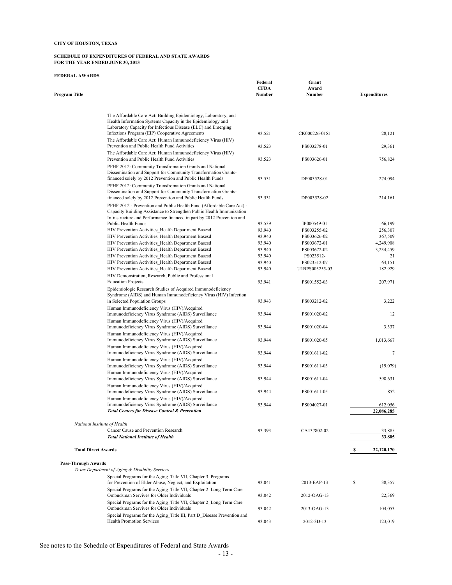#### **SCHEDULE OF EXPENDITURES OF FEDERAL AND STATE AWARDS FOR THE YEAR ENDED JUNE 30, 2013**

#### **FEDERAL AWARDS**

| Program Title              |                                                                                                                                                                                                                                                                                        | Federal<br><b>CFDA</b><br>Number | Grant<br>Award<br>Number | <b>Expenditures</b> |
|----------------------------|----------------------------------------------------------------------------------------------------------------------------------------------------------------------------------------------------------------------------------------------------------------------------------------|----------------------------------|--------------------------|---------------------|
|                            | The Affordable Care Act: Building Epidemiology, Laboratory, and<br>Health Information Systems Capacity in the Epidemiology and<br>Laboratory Capacity for Infectious Disease (ELC) and Emerging                                                                                        |                                  |                          |                     |
|                            | Infections Program (EIP) Cooperative Agreements                                                                                                                                                                                                                                        | 93.521                           | CK000226-01S1            | 28,121              |
|                            | The Affordable Care Act: Human Immunodeficiency Virus (HIV)<br>Prevention and Public Health Fund Activities                                                                                                                                                                            | 93.523                           | PS003278-01              | 29,361              |
|                            | The Affordable Care Act: Human Immunodeficiency Virus (HIV)<br>Prevention and Public Health Fund Activities                                                                                                                                                                            | 93.523                           | PS003626-01              | 756,824             |
|                            | PPHF 2012: Community Transfromation Grants and National<br>Dissemination and Support for Community Transformation Grants-<br>financed solely by 2012 Prevention and Public Health Funds                                                                                                | 93.531                           | DP003528-01              | 274,094             |
|                            | PPHF 2012: Community Transfromation Grants and National<br>Dissemination and Support for Community Transformation Grants-                                                                                                                                                              | 93.531                           | DP003528-02              |                     |
|                            | financed solely by 2012 Prevention and Public Health Funds<br>PPHF 2012 - Prevention and Public Health Fund (Affordable Care Act) -<br>Capacity Building Assistance to Strengthen Public Health Immunization<br>Infrastructure and Performance financed in part by 2012 Prevention and |                                  |                          | 214,161             |
|                            | Public Health Funds                                                                                                                                                                                                                                                                    | 93.539                           | IP000549-01              | 66,199              |
|                            | HIV Prevention Activities Health Department Basesd                                                                                                                                                                                                                                     | 93.940                           | PS003255-02              | 256,307             |
|                            | HIV Prevention Activities Health Department Basesd                                                                                                                                                                                                                                     | 93.940                           | PS003626-02              | 367,509             |
|                            | HIV Prevention Activities Health Department Basesd                                                                                                                                                                                                                                     | 93.940                           | PS003672-01              | 4,249,908           |
|                            | HIV Prevention Activities Health Department Basesd                                                                                                                                                                                                                                     | 93.940                           | PS003672-02              | 3,234,459           |
|                            | HIV Prevention Activities Health Department Basesd                                                                                                                                                                                                                                     | 93.940                           | PS023512-                | 21                  |
|                            | HIV Prevention Activities Health Department Basesd                                                                                                                                                                                                                                     | 93.940                           | PS023512-07              | 64,151              |
|                            | HIV Prevention Activities Health Department Basesd<br>HIV Demonstration, Research, Public and Professional                                                                                                                                                                             | 93.940                           | U1BPS003255-03           | 182,929             |
|                            | <b>Education Projects</b>                                                                                                                                                                                                                                                              | 93.941                           | PS001552-03              | 207,971             |
|                            | Epidemiologic Research Studies of Acquired Immunodeficiency<br>Syndrome (AIDS) and Human Immunodeficiency Virus (HIV) Infection<br>in Selected Population Groups                                                                                                                       | 93.943                           | PS003212-02              | 3,222               |
|                            | Human Immunodeficiency Virus (HIV)/Acquired<br>Immunodeficiency Virus Syndrome (AIDS) Surveillance                                                                                                                                                                                     | 93.944                           | PS001020-02              | 12                  |
|                            | Human Immunodeficiency Virus (HIV)/Acquired<br>Immunodeficiency Virus Syndrome (AIDS) Surveillance                                                                                                                                                                                     | 93.944                           | PS001020-04              | 3,337               |
|                            | Human Immunodeficiency Virus (HIV)/Acquired<br>Immunodeficiency Virus Syndrome (AIDS) Surveillance                                                                                                                                                                                     | 93.944                           | PS001020-05              | 1,013,667           |
|                            | Human Immunodeficiency Virus (HIV)/Acquired<br>Immunodeficiency Virus Syndrome (AIDS) Surveillance                                                                                                                                                                                     | 93.944                           | PS001611-02              | 7                   |
|                            | Human Immunodeficiency Virus (HIV)/Acquired<br>Immunodeficiency Virus Syndrome (AIDS) Surveillance                                                                                                                                                                                     | 93.944                           | PS001611-03              | (19,079)            |
|                            | Human Immunodeficiency Virus (HIV)/Acquired<br>Immunodeficiency Virus Syndrome (AIDS) Surveillance                                                                                                                                                                                     | 93.944                           | PS001611-04              | 598,631             |
|                            | Human Immunodeficiency Virus (HIV)/Acquired<br>Immunodeficiency Virus Syndrome (AIDS) Surveillance                                                                                                                                                                                     | 93.944                           | PS001611-05              | 852                 |
|                            | Human Immunodeficiency Virus (HIV)/Acquired<br>Immunodeficiency Virus Syndrome (AIDS) Surveillance                                                                                                                                                                                     | 93.944                           | PS004027-01              | 612,056             |
|                            | <b>Total Centers for Disease Control &amp; Prevention</b>                                                                                                                                                                                                                              |                                  |                          | 22,086,285          |
|                            | National Institute of Health                                                                                                                                                                                                                                                           |                                  |                          |                     |
|                            | Cancer Cause and Prevention Research<br><b>Total National Institute of Health</b>                                                                                                                                                                                                      | 93.393                           | CA137802-02              | 33,885<br>33,885    |
| <b>Total Direct Awards</b> |                                                                                                                                                                                                                                                                                        |                                  |                          | 22,120,170<br>s     |
| <b>Pass-Through Awards</b> |                                                                                                                                                                                                                                                                                        |                                  |                          |                     |
|                            | Texas Department of Aging & Disability Services                                                                                                                                                                                                                                        |                                  |                          |                     |
|                            | Special Programs for the Aging Title VII, Chapter 3 Programs<br>for Prevention of Elder Abuse, Neglect, and Exploitation                                                                                                                                                               | 93.041                           | 2013-EAP-13              | S<br>38,357         |
|                            | Special Programs for the Aging Title VII, Chapter 2 Long Term Care<br>Ombudsman Servives for Older Individuals                                                                                                                                                                         | 93.042                           | 2012-OAG-13              | 22,369              |
|                            | Special Programs for the Aging Title VII, Chapter 2 Long Term Care<br>Ombudsman Servives for Older Individuals                                                                                                                                                                         | 93.042                           | 2013-OAG-13              | 104,053             |
|                            | Special Programs for the Aging Title III, Part D Disease Prevention and<br><b>Health Promotion Services</b>                                                                                                                                                                            | 93.043                           | 2012-3D-13               | 123,019             |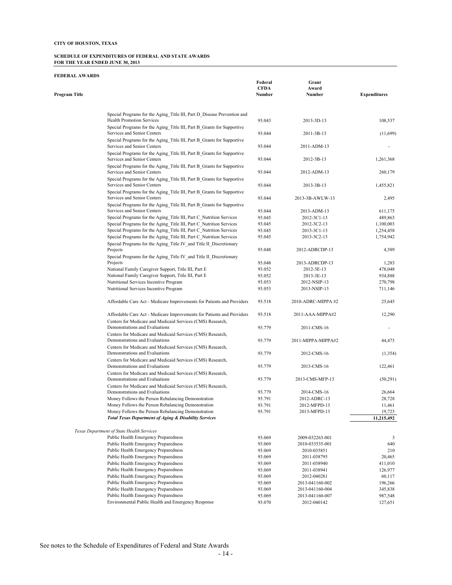#### **SCHEDULE OF EXPENDITURES OF FEDERAL AND STATE AWARDS FOR THE YEAR ENDED JUNE 30, 2013**

#### **FEDERAL AWARDS Federal CFDA Number Grant Award Program Title Number Expenditures** Special Programs for the Aging\_Title III, Part D\_Disease Prevention and Health Promotion Services 93.043 2013-3D-13 108,537 Special Programs for the Aging\_Title III, Part B\_Grants for Supportive Services and Senior Centers **193.044** 2011-3B-13 (11.699) Special Programs for the Aging\_Title III, Part B\_Grants for Supportive Services and Senior Centers 93.044 2011-ADM-13 Special Programs for the Aging\_Title III, Part B\_Grants for Supportive Services and Senior Centers 93.044 2012-3B-13 1,261,368 Special Programs for the Aging\_Title III, Part B\_Grants for Supportive Services and Senior Centers **193.044** 2012-ADM-13 260,179 Special Programs for the Aging\_Title III, Part B\_Grants for Supportive Services and Senior Centers **93.044** 2013-3B-13 1,455,821 Special Programs for the Aging\_Title III, Part B\_Grants for Supportive Services and Senior Centers 93.044 2013-3B-AWLW-13 2,495 Special Programs for the Aging\_Title III, Part B\_Grants for Supportive Services and Senior Centers **11,175** 93.044 2013-ADM-13 611,175 Special Programs for the Aging\_Title III, Part C\_Nutrition Services 93.045 2012-3C1-13 489,863 Special Programs for the Aging\_Title III, Part C\_Nutrition Services 93.045 2012-3C2-13 1,100,003<br>Special Programs for the Aging\_Title III, Part C\_Nutrition Services 93.045 2013-3C1-13 1,254,458 Special Programs for the Aging\_Title III, Part C\_Nutrition Services Special Programs for the Aging\_Title III, Part C\_Nutrition Services 93.045 2013-3C2-13 1,754,942 Special Programs for the Aging\_Title IV\_and Title II\_Discretionary Projects 93.048 2012-ADRCDP-13 4,589 Special Programs for the Aging\_Title IV\_and Title II\_Discretionary Projects 93.048 2013-ADRCDP-13 1,283 National Family Caregiver Support, Title III, Part E 93.052 2012-3E-13 478,048 National Family Caregiver Support, Title III, Part E 93.052 2013-3E-13 934,888 Nutritional Services Incentive Program  $93.053$  2012-NSIP-13 270,798<br>
93.053 2013-NSIP-13 2013-NSIP-13 2013-NSIP-13 2013-NSIP-13 Nutritional Services Incentive Program 93.053 2013-NSIP-13 711,146 Affordable Care Act - Medicare Improvements for Patients and Providers 93.518 2010-ADRC-MIPPA #2 25,645 Affordable Care Act - Medicare Improvements for Patients and Providers 93.518 2011-AAA-MIPPA#2 12,290 Centers for Medicare and Medicaid Services (CMS) Research, Demonstrations and Evaluations **63.779** 2011-CMS-16 - 2011-CMS-16 - 2011-CMS-16 - 2011-CMS-16 - 2011-CMS-16 - 2011-CMS-16 - 2011-CMS-16 - 2011-CMS-16 - 2011-CMS-16 - 2011-CMS-16 - 2011-CMS-16 - 2011-CMS-16 - 2012 Centers for Medicare and Medicaid Services (CMS) Research, Demonstrations and Evaluations **2011-MIPPA-MIPPA-MIPPA-MIPPA-MIPPA-MIPPA-MIPPA-MIPPA-MIPPA-MIPPA-MIPPA-MIPPA-MIPPA-MIPPA-MIPPA-MIPPA-MIPPA-MIPPA-MIPPA-MIPPA-MIPPA-MIPPA-MIPPA-MIPPA-MIPPA-MIPPA-MIPPA-MIPPA-MIPPA-MIPPA-MIPPA** Centers for Medicare and Medicaid Services (CMS) Research, Demonstrations and Evaluations (1,354) 2012-CMS-16 2012-CMS-16 (1,354) Centers for Medicare and Medicaid Services (CMS) Research, Demonstrations and Evaluations 93.779 2013-CMS-16 122,461 Centers for Medicare and Medicaid Services (CMS) Research, Demonstrations and Evaluations 93.779 2013-CMS-MFP-13 (50,291) Centers for Medicare and Medicaid Services (CMS) Research, Demonstrations and Evaluations 93.779 2014-CMS-16 26,664 Money Follows the Person Rebalancing Demonstration 93.791 2012-ADRC-13 28.728 Money Follows the Person Rebalancing Demonstration 93.791 2012-MFPD-13 11,461 Money Follows the Person Rebalancing Demonstration 93.791 2013-MFPD-13 19,723 *Total Texas Department of Aging & Disability Services* **<b>11,215,492 11,215,492** *Texas Department of State Health Services* Public Health Emergency Preparedness 3 3069 2009-032263-001 3 Public Health Emergency Preparedness 640<br>
Public Health Emergency Preparedness 640<br>
2010-035851<br>
210 Public Health Emergency Preparedness Public Health Emergency Preparedness 20.465 2010 93.069 2011-038795 20.465 Public Health Emergency Preparedness 93.069 2011-038940 411,010 Public Health Emergency Preparedness 93.069 2011-038941 126,977 Public Health Emergency Preparedness 93.069 2012-040281 60,117 Public Health Emergency Preparedness 93.069 2013-041160-002 196,266 Public Health Emergency Preparedness 93.069 2013-041160-004 345,838 Public Health Emergency Preparedness 93.069 2013-041160-007 987,548 Environmental Public Health and Emergency Response 93.070 2012-040142 127,651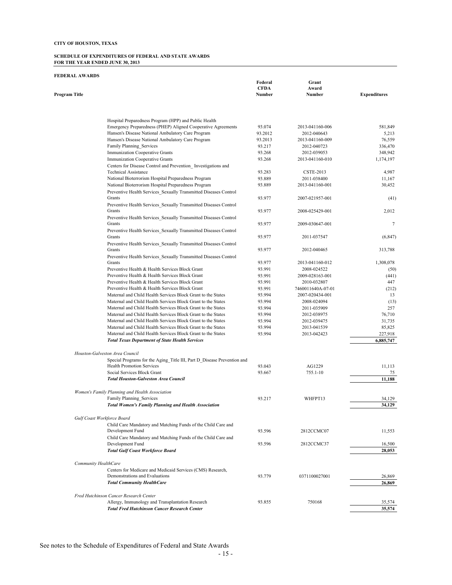#### **SCHEDULE OF EXPENDITURES OF FEDERAL AND STATE AWARDS FOR THE YEAR ENDED JUNE 30, 2013**

#### **FEDERAL AWARDS**

| Program Title              |                                                                                                                       | Federal<br><b>CFDA</b><br><b>Number</b> | Grant<br>Award<br>Number       | <b>Expenditures</b> |
|----------------------------|-----------------------------------------------------------------------------------------------------------------------|-----------------------------------------|--------------------------------|---------------------|
|                            |                                                                                                                       |                                         |                                |                     |
|                            | Hospital Preparedness Program (HPP) and Public Health<br>Emergency Preparedness (PHEP) Aligned Cooperative Agreements |                                         |                                |                     |
|                            | Hansen's Disease National Ambulatory Care Program                                                                     | 93.074<br>93.2012                       | 2013-041160-006<br>2012-040643 | 581,849<br>5,213    |
|                            | Hansen's Disease National Ambulatory Care Program                                                                     |                                         |                                | 76,559              |
|                            |                                                                                                                       | 93.2013<br>93.217                       | 2013-041160-009                | 336,470             |
|                            | Family Planning Services<br>Immunization Cooperative Grants                                                           | 93.268                                  | 2012-040723<br>2012-039053     | 348,942             |
|                            | Immunization Cooperative Grants                                                                                       | 93.268                                  | 2013-041160-010                | 1,174,197           |
|                            | Centers for Disease Control and Prevention Investigations and                                                         |                                         |                                |                     |
|                            | <b>Technical Assistance</b>                                                                                           | 93.283                                  | <b>CSTE-2013</b>               | 4,987               |
|                            | National Bioterrorism Hospital Preparedness Program                                                                   | 93.889                                  | 2011-038400                    | 11,167              |
|                            | National Bioterrorism Hospital Preparedness Program                                                                   | 93.889                                  | 2013-041160-001                | 30,452              |
|                            | Preventive Health Services Sexually Transmitted Diseases Control                                                      |                                         |                                |                     |
|                            | Grants                                                                                                                | 93.977                                  | 2007-021957-001                | (41)                |
|                            |                                                                                                                       |                                         |                                |                     |
|                            | Preventive Health Services Sexually Transmitted Diseases Control<br>Grants                                            | 93.977                                  | 2008-025429-001                | 2,012               |
|                            | Preventive Health Services Sexually Transmitted Diseases Control                                                      |                                         |                                |                     |
|                            | Grants                                                                                                                | 93.977                                  | 2009-030647-001                | 7                   |
|                            | Preventive Health Services Sexually Transmitted Diseases Control                                                      |                                         |                                |                     |
|                            | Grants                                                                                                                | 93.977                                  | 2011-037547                    | (6, 847)            |
|                            | Preventive Health Services Sexually Transmitted Diseases Control                                                      |                                         |                                |                     |
|                            | Grants                                                                                                                | 93.977                                  | 2012-040465                    | 313,788             |
|                            | Preventive Health Services Sexually Transmitted Diseases Control                                                      |                                         |                                |                     |
|                            | Grants                                                                                                                | 93.977                                  | 2013-041160-012                | 1,308,078           |
|                            | Preventive Health & Health Services Block Grant                                                                       | 93.991                                  | 2008-024522                    | (50)                |
|                            | Preventive Health & Health Services Block Grant                                                                       | 93.991                                  | 2009-028163-001                | (441)               |
|                            | Preventive Health & Health Services Block Grant                                                                       | 93.991                                  | 2010-032807                    | 447                 |
|                            | Preventive Health & Health Services Block Grant                                                                       | 93.991                                  | 7460011640A-07-01              | (212)               |
|                            | Maternal and Child Health Services Block Grant to the States                                                          | 93.994                                  | 2007-020434-001                | 13                  |
|                            | Maternal and Child Health Services Block Grant to the States                                                          | 93.994                                  |                                |                     |
|                            | Maternal and Child Health Services Block Grant to the States                                                          | 93.994                                  | 2008-024094                    | (13)<br>257         |
|                            | Maternal and Child Health Services Block Grant to the States                                                          | 93.994                                  | 2011-035909<br>2012-038975     | 76,710              |
|                            | Maternal and Child Health Services Block Grant to the States                                                          | 93.994                                  |                                |                     |
|                            | Maternal and Child Health Services Block Grant to the States                                                          | 93.994                                  | 2012-039475<br>2013-041539     | 31,735              |
|                            | Maternal and Child Health Services Block Grant to the States                                                          | 93.994                                  | 2013-042423                    | 85,825<br>227,918   |
|                            |                                                                                                                       |                                         |                                |                     |
|                            | <b>Total Texas Department of State Health Services</b>                                                                |                                         |                                | 6,885,747           |
|                            |                                                                                                                       |                                         |                                |                     |
|                            | Houston-Galveston Area Council                                                                                        |                                         |                                |                     |
|                            | Special Programs for the Aging Title III, Part D Disease Prevention and                                               |                                         |                                |                     |
|                            | <b>Health Promotion Services</b>                                                                                      | 93.043                                  | AG1229                         | 11,113              |
|                            | Social Services Block Grant                                                                                           | 93.667                                  | 755.1-10                       | 75                  |
|                            | <b>Total Houston-Galveston Area Council</b>                                                                           |                                         |                                | 11,188              |
|                            |                                                                                                                       |                                         |                                |                     |
|                            | Women's Family Planning and Health Association<br>Family Planning Services                                            | 93.217                                  | WHFPT13                        |                     |
|                            |                                                                                                                       |                                         |                                | 34,129<br>34,129    |
|                            | <b>Total Women's Family Planning and Health Association</b>                                                           |                                         |                                |                     |
| Gulf Coast Workforce Board |                                                                                                                       |                                         |                                |                     |
|                            | Child Care Mandatory and Matching Funds of the Child Care and                                                         |                                         |                                |                     |
|                            | Development Fund                                                                                                      | 93.596                                  | 2812CCMC07                     | 11,553              |
|                            |                                                                                                                       |                                         |                                |                     |
|                            | Child Care Mandatory and Matching Funds of the Child Care and<br>Development Fund                                     |                                         |                                |                     |
|                            | <b>Total Gulf Coast Workforce Board</b>                                                                               | 93.596                                  | 2812CCMC37                     | 16,500<br>28,053    |
|                            |                                                                                                                       |                                         |                                |                     |
| Community HealthCare       |                                                                                                                       |                                         |                                |                     |
|                            | Centers for Medicare and Medicaid Services (CMS) Research,                                                            |                                         |                                |                     |
|                            | Demonstrations and Evaluations                                                                                        | 93.779                                  | 0371100027001                  | 26,869              |
|                            | <b>Total Community HealthCare</b>                                                                                     |                                         |                                | 26,869              |
|                            |                                                                                                                       |                                         |                                |                     |
|                            | Fred Hutchinson Cancer Research Center                                                                                |                                         |                                |                     |
|                            | Allergy, Immunology and Transplantation Research                                                                      | 93.855                                  | 750168                         | 35,574              |
|                            | <b>Total Fred Hutchinson Cancer Research Center</b>                                                                   |                                         |                                | 35,574              |
|                            |                                                                                                                       |                                         |                                |                     |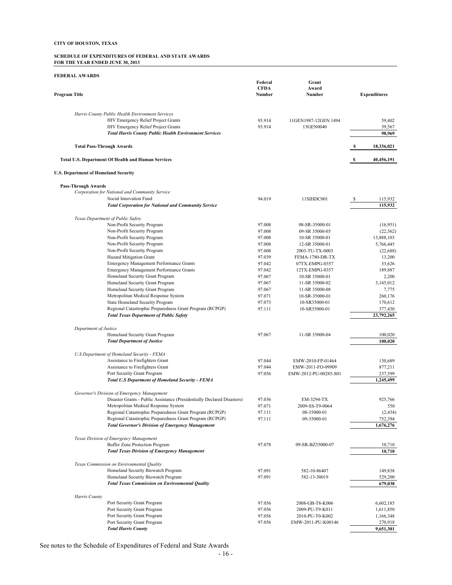#### **SCHEDULE OF EXPENDITURES OF FEDERAL AND STATE AWARDS FOR THE YEAR ENDED JUNE 30, 2013**

| FEDERAL AWARDS                              |                                                                                                                 |                                         |                                 |    |                     |
|---------------------------------------------|-----------------------------------------------------------------------------------------------------------------|-----------------------------------------|---------------------------------|----|---------------------|
| Program Title                               |                                                                                                                 | Federal<br><b>CFDA</b><br><b>Number</b> | Grant<br>Award<br><b>Number</b> |    | <b>Expenditures</b> |
|                                             |                                                                                                                 |                                         |                                 |    |                     |
|                                             | Harris County Public Health Environment Services                                                                |                                         |                                 |    |                     |
|                                             | HIV Emergency Relief Project Grants                                                                             | 93.914                                  | 11GEN1987-12GEN 1494            |    | 59,402              |
|                                             | HIV Emergency Relief Project Grants<br><b>Total Harris County Public Health Environment Services</b>            | 93.914                                  | 13GEN0040                       |    | 39,567<br>98,969    |
| <b>Total Pass-Through Awards</b>            |                                                                                                                 |                                         |                                 | S  | 18,336,021          |
|                                             | <b>Total U.S. Department Of Health and Human Services</b>                                                       |                                         |                                 | S. | 40,456,191          |
| <b>U.S. Department of Homeland Security</b> |                                                                                                                 |                                         |                                 |    |                     |
| <b>Pass-Through Awards</b>                  |                                                                                                                 |                                         |                                 |    |                     |
|                                             | Corporation for National and Community Service                                                                  |                                         |                                 |    |                     |
|                                             | Social Innovation Fund                                                                                          | 94.019                                  | 11SIHDC001                      | S  | 115,932             |
|                                             | <b>Total Corporation for National and Community Service</b>                                                     |                                         |                                 |    | 115,932             |
| Texas Department of Public Safety           |                                                                                                                 |                                         |                                 |    |                     |
|                                             | Non-Profit Security Program                                                                                     | 97.008                                  | 08-SR-35000-01                  |    | (16,951)            |
|                                             | Non-Profit Security Program                                                                                     | 97.008                                  | 09-SR 35000-05                  |    | (22, 562)           |
|                                             | Non-Profit Security Program                                                                                     | 97.008                                  | 10-SR 35000-01                  |    | 13,888,103          |
|                                             | Non-Profit Security Program                                                                                     | 97.008                                  | 12-SR 35000-01                  |    | 5,766,445           |
|                                             | Non-Profit Security Program                                                                                     | 97.008                                  | 2003-TU-TX-0003                 |    | (22, 688)           |
|                                             | Hazard Mitigation Grant                                                                                         | 97.039                                  | FEMA-1780-DR-TX                 |    | 13,200              |
|                                             | <b>Emergency Management Performance Grants</b>                                                                  | 97.042                                  | 07TX-EMPG-0357                  |    | 33,626              |
|                                             | Emergency Management Performance Grants                                                                         | 97.042                                  | 12TX-EMPG-0357                  |    | 189,887             |
|                                             | Homeland Security Grant Program                                                                                 | 97.067                                  | 10-SR 35000-01                  |    | 2,200               |
|                                             | Homeland Security Grant Program                                                                                 | 97.067                                  | 11-SR 35000-02                  |    | 3,145,012           |
|                                             | Homeland Security Grant Program                                                                                 | 97.067                                  | 11-SR 35000-08                  |    | 7,775               |
|                                             | Metropolitan Medical Response System<br>State Homeland Security Program                                         | 97.071<br>97.073                        | 10-SR-35000-01<br>10-SR35000-01 |    | 260,176<br>170,612  |
|                                             | Regional Catastrophic Preparedness Grant Program (RCPGP)                                                        | 97.111                                  | 10-SR35000-01                   |    | 377,430             |
|                                             | <b>Total Texas Department of Public Safety</b>                                                                  |                                         |                                 |    | 23,792,265          |
| Department of Justice                       |                                                                                                                 |                                         |                                 |    |                     |
|                                             | Homeland Security Grant Program                                                                                 | 97.067                                  | 11-SR 35000-04                  |    | 100,020             |
|                                             | <b>Total Department of Justice</b>                                                                              |                                         |                                 |    | 100,020             |
|                                             | <b>U.S Department of Homeland Security - FEMA</b>                                                               |                                         |                                 |    |                     |
|                                             | Assistance to Firefighters Grant                                                                                | 97.044                                  | EMW-2010-FP-01464               |    | 130,689             |
|                                             | Assistance to Firefighters Grant                                                                                | 97.044                                  | EMW-2011-FO-09909               |    | 877,211             |
|                                             | Port Security Grant Program                                                                                     | 97.056                                  | EMW-2012-PU-00285-S01           |    | 237,599             |
|                                             | <b>Total U.S Department of Homeland Security - FEMA</b>                                                         |                                         |                                 |    | 1,245,499           |
|                                             | Governor's Division of Emergency Management                                                                     | 97.036                                  |                                 |    |                     |
|                                             | Disaster Grants - Public Assistance (Presidentially Declared Disasters)<br>Metropolitan Medical Response System |                                         | EM-3294-TX<br>2009-SS-T9-0064   |    | 925,766             |
|                                             | Regional Catastrophic Preparedness Grant Program (RCPGP)                                                        | 97.071<br>97.111                        | 08-35000-01                     |    | 550<br>(2, 434)     |
|                                             | Regional Catastrophic Preparedness Grant Program (RCPGP)                                                        | 97.111                                  | 09-35000-01                     |    | 752,394             |
|                                             | <b>Total Governor's Division of Emergency Management</b>                                                        |                                         |                                 |    | 1,676,276           |
|                                             | Texas Division of Emergency Management                                                                          |                                         |                                 |    |                     |
|                                             | Buffer Zone Protection Program                                                                                  | 97.078                                  | 09-SR-BZ35000-07                |    | 10,710              |
|                                             | <b>Total Texas Division of Emergency Management</b>                                                             |                                         |                                 |    | 10,710              |
|                                             | Texas Commission on Environmental Quality                                                                       |                                         |                                 |    |                     |
|                                             | Homeland Security Biowatch Program                                                                              | 97.091                                  | 582-10-86407                    |    | 149,838             |
|                                             | Homeland Security Biowatch Program<br><b>Total Texas Commission on Environmental Quality</b>                    | 97.091                                  | 582-13-30019                    |    | 529,200<br>679,038  |
|                                             |                                                                                                                 |                                         |                                 |    |                     |
| Harris County                               | Port Security Grant Program                                                                                     | 97.056                                  | 2008-GB-T8-K006                 |    | 6,602,185           |
|                                             | Port Security Grant Program                                                                                     | 97.056                                  | 2009-PU-T9-K011                 |    | 1,611,850           |
|                                             | Port Security Grant Program                                                                                     | 97.056                                  | 2010-PU-T0-K002                 |    | 1,166,348           |
|                                             | Port Security Grant Program                                                                                     | 97.056                                  | EMW-2011-PU-K00146              |    | 270,918             |
|                                             | <b>Total Harris County</b>                                                                                      |                                         |                                 |    | 9,651,301           |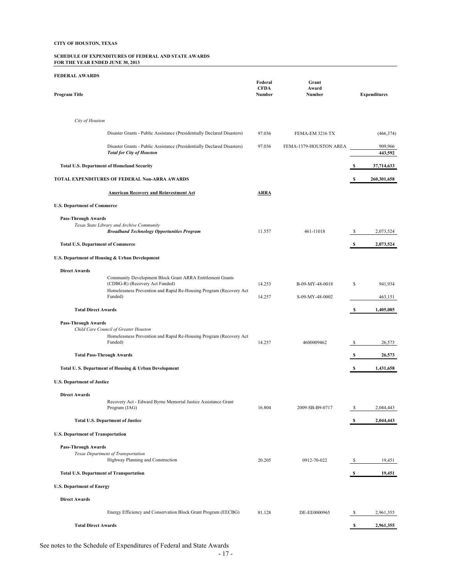#### **SCHEDULE OF EXPENDITURES OF FEDERAL AND STATE AWARDS FOR THE YEAR ENDED JUNE 30, 2013**

| <b>FEDERAL AWARDS</b>                    |                                                                                                                        | Federal               | Grant                  |              |                     |
|------------------------------------------|------------------------------------------------------------------------------------------------------------------------|-----------------------|------------------------|--------------|---------------------|
| <b>Program Title</b>                     |                                                                                                                        | <b>CFDA</b><br>Number | Award<br>Number        |              | <b>Expenditures</b> |
| City of Houston                          |                                                                                                                        |                       |                        |              |                     |
|                                          | Disaster Grants - Public Assistance (Presidentially Declared Disasters)                                                | 97.036                | FEMA-EM 3216 TX        |              | (466, 374)          |
|                                          | Disaster Grants - Public Assistance (Presidentially Declared Disasters)<br><b>Total for City of Houston</b>            | 97.036                | FEMA-1379-HOUSTON AREA |              | 909,966<br>443,592  |
|                                          | <b>Total U.S. Department of Homeland Security</b>                                                                      |                       |                        | S            | 37,714,633          |
|                                          | TOTAL EXPENDITURES OF FEDERAL Non-ARRA AWARDS                                                                          |                       |                        | s            | 260,301,658         |
|                                          | <b>American Recovery and Reinvestment Act</b>                                                                          | <b>ARRA</b>           |                        |              |                     |
| <b>U.S. Department of Commerce</b>       |                                                                                                                        |                       |                        |              |                     |
| <b>Pass-Through Awards</b>               |                                                                                                                        |                       |                        |              |                     |
|                                          | Texas State Library and Archive Community<br><b>Broadband Technology Opportunities Program</b>                         | 11.557                | 461-11018              | S            | 2,073,524           |
| <b>Total U.S. Department of Commerce</b> |                                                                                                                        |                       |                        | S            | 2,073,524           |
|                                          | U.S. Department of Housing & Urban Development                                                                         |                       |                        |              |                     |
| <b>Direct Awards</b>                     | Community Development Block Grant ARRA Entitlement Grants<br>(CDBG-R) (Recovery Act Funded)                            | 14.253                | B-09-MY-48-0018        | \$           | 941,934             |
|                                          | Homelessness Prevention and Rapid Re-Housing Program (Recovery Act<br>Funded)                                          | 14.257                | S-09-MY-48-0002        |              | 463,151             |
| <b>Total Direct Awards</b>               |                                                                                                                        |                       |                        | S            | 1,405,085           |
| <b>Pass-Through Awards</b>               | Child Care Council of Greater Houston<br>Homelessness Prevention and Rapid Re-Housing Program (Recovery Act<br>Funded) | 14.257                | 4600009462             | \$           | 26,573              |
|                                          | <b>Total Pass-Through Awards</b>                                                                                       |                       |                        | S            | 26,573              |
|                                          | Total U.S. Department of Housing & Urban Development                                                                   |                       |                        | -S           | 1,431,658           |
| <b>U.S. Department of Justice</b>        |                                                                                                                        |                       |                        |              |                     |
| <b>Direct Awards</b>                     |                                                                                                                        |                       |                        |              |                     |
|                                          | Recovery Act - Edward Byrne Memorial Justice Assistance Grant<br>Program (JAG)                                         | 16.804                | 2009-SB-B9-0717        | $\mathbb{S}$ | 2,044,443           |
|                                          | <b>Total U.S. Department of Justice</b>                                                                                |                       |                        | S            | 2,044,443           |
| <b>U.S. Department of Transportation</b> |                                                                                                                        |                       |                        |              |                     |
| <b>Pass-Through Awards</b>               | Texas Department of Transportation<br>Highway Planning and Construction                                                | 20.205                | 0912-70-022            | S            | 19,451              |
|                                          | <b>Total U.S. Department of Transportation</b>                                                                         |                       |                        | S            | 19,451              |
| <b>U.S. Department of Energy</b>         |                                                                                                                        |                       |                        |              |                     |
| <b>Direct Awards</b>                     |                                                                                                                        |                       |                        |              |                     |
|                                          | Energy Efficiency and Conservation Block Grant Program (EECBG)                                                         | 81.128                | DE-EE0000965           | \$           | 2,961,355           |
| <b>Total Direct Awards</b>               |                                                                                                                        |                       |                        | S            | 2,961,355           |
|                                          |                                                                                                                        |                       |                        |              |                     |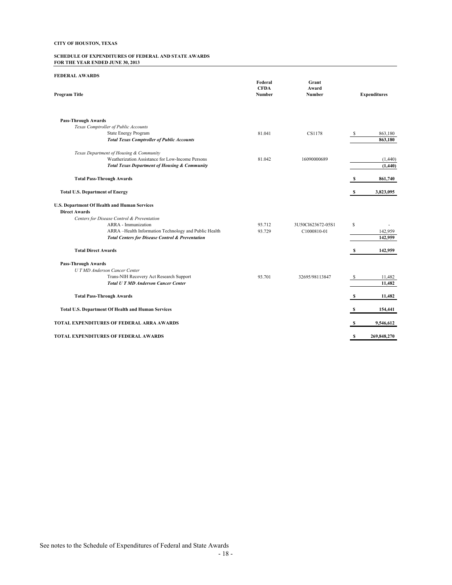#### **SCHEDULE OF EXPENDITURES OF FEDERAL AND STATE AWARDS FOR THE YEAR ENDED JUNE 30, 2013**

| <b>FEDERAL AWARDS</b>                                                |                                         |                                 |                     |
|----------------------------------------------------------------------|-----------------------------------------|---------------------------------|---------------------|
| <b>Program Title</b>                                                 | Federal<br><b>CFDA</b><br><b>Number</b> | Grant<br>Award<br><b>Number</b> | <b>Expenditures</b> |
| <b>Pass-Through Awards</b>                                           |                                         |                                 |                     |
| Texas Comptroller of Public Accounts                                 |                                         |                                 |                     |
| State Energy Program                                                 | 81.041                                  | CS1178                          | 863,180<br>S        |
| <b>Total Texas Comptroller of Public Accounts</b>                    |                                         |                                 | 863,180             |
| Texas Department of Housing & Community                              |                                         |                                 |                     |
| Weatherization Assistance for Low-Income Persons                     | 81.042                                  | 16090000689                     | (1,440)             |
| <b>Total Texas Department of Housing &amp; Community</b>             |                                         |                                 | (1, 440)            |
| <b>Total Pass-Through Awards</b>                                     |                                         |                                 | 861,740<br>\$       |
| <b>Total U.S. Department of Energy</b>                               |                                         |                                 | 3,823,095<br>S      |
| U.S. Department Of Health and Human Services<br><b>Direct Awards</b> |                                         |                                 |                     |
| Centers for Disease Control & Preventation                           |                                         |                                 |                     |
| ARRA - Immunization                                                  | 93.712                                  | 3U50CI623672-05S1               | \$                  |
| ARRA -Health Information Technology and Public Health                | 93.729                                  | C1000810-01                     | 142,959             |
| <b>Total Centers for Disease Control &amp; Preventation</b>          |                                         |                                 | 142,959             |
| <b>Total Direct Awards</b>                                           |                                         |                                 | 142,959<br>S        |
| <b>Pass-Through Awards</b>                                           |                                         |                                 |                     |
| <b>UT MD Anderson Cancer Center</b>                                  |                                         |                                 |                     |
| Trans-NIH Recovery Act Research Support                              | 93.701                                  | 32695/98113847                  | 11,482<br>\$.       |
| <b>Total U T MD Anderson Cancer Center</b>                           |                                         |                                 | 11,482              |
| <b>Total Pass-Through Awards</b>                                     |                                         |                                 | s<br>11,482         |
| <b>Total U.S. Department Of Health and Human Services</b>            |                                         |                                 | 154,441<br>S        |
| TOTAL EXPENDITURES OF FEDERAL ARRA AWARDS                            |                                         |                                 | 9,546,612<br>S      |
| <b>TOTAL EXPENDITURES OF FEDERAL AWARDS</b>                          |                                         |                                 | S<br>269,848,270    |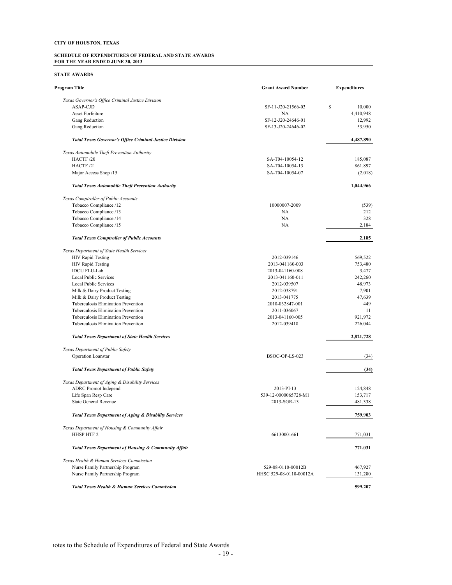#### **FOR THE YEAR ENDED JUNE 30, 2013 SCHEDULE OF EXPENDITURES OF FEDERAL AND STATE AWARDS**

#### **STATE AWARDS**

| <b>Program Title</b>                                                       | <b>Grant Award Number</b>      | <b>Expenditures</b> |
|----------------------------------------------------------------------------|--------------------------------|---------------------|
| Texas Governor's Office Criminal Justice Division                          |                                |                     |
| ASAP-CJD                                                                   | SF-11-J20-21566-03             | \$<br>10,000        |
| <b>Asset Forfeiture</b>                                                    | <b>NA</b>                      | 4,410,948           |
| Gang Reduction                                                             | SF-12-J20-24646-01             | 12,992              |
| Gang Reduction                                                             | SF-13-J20-24646-02             | 53,950              |
| <b>Total Texas Governor's Office Criminal Justice Division</b>             |                                | 4,487,890           |
| Texas Automobile Theft Prevention Authority                                |                                |                     |
| HACTF/20                                                                   | SA-T04-10054-12                | 185,087             |
| HACTF/21                                                                   | SA-T04-10054-13                | 861,897             |
| Major Access Shop /15                                                      | SA-T04-10054-07                | (2,018)             |
| <b>Total Texas Automobile Theft Prevention Authority</b>                   |                                | 1,044,966           |
| Texas Comptroller of Public Accounts                                       |                                |                     |
| Tobacco Compliance /12                                                     | 10000007-2009                  | (539)               |
| Tobacco Compliance /13                                                     | NA                             | 212                 |
| Tobacco Compliance /14                                                     | NA                             | 328                 |
| Tobacco Compliance /15                                                     | NA                             | 2,184               |
| <b>Total Texas Comptroller of Public Accounts</b>                          |                                | 2,185               |
| Texas Department of State Health Services                                  |                                |                     |
| <b>HIV Rapid Testing</b>                                                   | 2012-039146                    | 569,522             |
| <b>HIV Rapid Testing</b>                                                   | 2013-041160-003                | 753,480             |
| <b>IDCU FLU-Lab</b>                                                        | 2013-041160-008                | 3,477               |
| <b>Local Public Services</b>                                               | 2013-041160-011                | 242,260             |
| <b>Local Public Services</b>                                               | 2012-039507                    | 48,973              |
| Milk & Dairy Product Testing                                               | 2012-038791                    | 7,901               |
| Milk & Dairy Product Testing                                               | 2013-041775                    | 47,639              |
| Tuberculosis Elimination Prevention                                        | 2010-032847-001                | 449                 |
| Tuberculosis Elimination Prevention<br>Tuberculosis Elimination Prevention | 2011-036067<br>2013-041160-005 | 11<br>921,972       |
| Tuberculosis Elimination Prevention                                        | 2012-039418                    | 226,044             |
| <b>Total Texas Department of State Health Services</b>                     |                                | 2,821,728           |
| Texas Department of Public Safety                                          |                                |                     |
| Operation Loanstar                                                         | BSOC-OP-LS-023                 | (34)                |
| <b>Total Texas Department of Public Safety</b>                             |                                | (34)                |
| Texas Department of Aging & Disability Services                            |                                |                     |
| <b>ADRC</b> Promot Independ                                                | 2013-PI-13                     | 124,848             |
| Life Span Resp Care                                                        | 539-12-0000065728-M1           | 153,717             |
| <b>State General Revenue</b>                                               | 2013-SGR-13                    | 481,338             |
| <b>Total Texas Department of Aging &amp; Disability Services</b>           |                                | 759,903             |
| Texas Department of Housing & Community Affair                             |                                |                     |
| HHSP HTF 2                                                                 | 66130001661                    | 771,031             |
| <b>Total Texas Department of Housing &amp; Community Affair</b>            |                                | 771,031             |
| Texas Health & Human Services Commission                                   |                                |                     |
| Nurse Family Partnership Program                                           | 529-08-0110-00012B             | 467,927             |
| Nurse Family Partnership Program                                           | HHSC 529-08-0110-00012A        | 131,280             |
| <b>Total Texas Health &amp; Human Services Commission</b>                  |                                | 599,207             |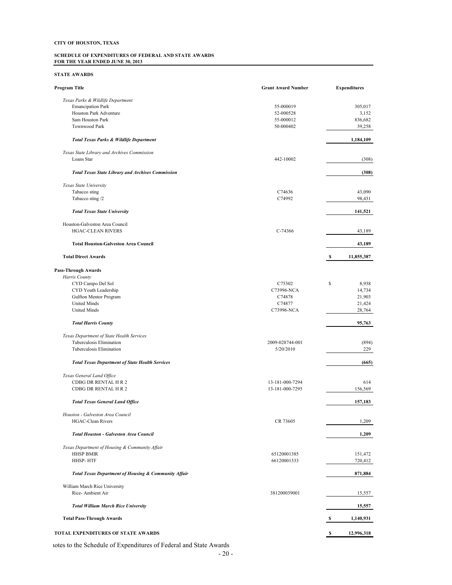#### **FOR THE YEAR ENDED JUNE 30, 2013 SCHEDULE OF EXPENDITURES OF FEDERAL AND STATE AWARDS**

#### **STATE AWARDS**

| <b>Program Title</b>                                            | <b>Grant Award Number</b>  | <b>Expenditures</b> |
|-----------------------------------------------------------------|----------------------------|---------------------|
| Texas Parks & Wildlife Department                               |                            |                     |
| <b>Emancipation Park</b>                                        | 55-000019                  | 305,017             |
| Houston Park Adventure                                          | 52-000528                  | 3,152               |
| Sam Houston Park                                                | 55-000012                  | 836,682             |
| Townwood Park                                                   | 50-000402                  | 39,258              |
| <b>Total Texas Parks &amp; Wildlife Department</b>              |                            | 1,184,109           |
| Texas State Library and Archives Commission                     |                            |                     |
| Loans Star                                                      | 442-10002                  | (308)               |
| <b>Total Texas State Library and Archives Commission</b>        |                            | (308)               |
| Texas State University                                          |                            |                     |
| Tabacco sting                                                   | C74636                     | 43,090              |
| Tabacco sting /2                                                | C74992                     | 98,431              |
| <b>Total Texas State University</b>                             |                            | 141,521             |
| Houston-Galveston Area Council                                  |                            |                     |
| <b>HGAC-CLEAN RIVERS</b>                                        | C-74366                    | 43,189              |
| <b>Total Houston-Galveston Area Council</b>                     |                            | 43,189              |
| <b>Total Direct Awards</b>                                      |                            | 11,855,387<br>S     |
| <b>Pass-Through Awards</b>                                      |                            |                     |
| Harris County                                                   |                            |                     |
| CYD Campo Del Sol                                               | C75302                     | 8,938<br>\$         |
| CYD Youth Leadership                                            | C73996-NCA                 | 14,734              |
| Gulfton Mentor Program                                          | C74878                     | 21,903              |
| United Minds                                                    | C74877                     | 21,424              |
| United Minds                                                    | C73996-NCA                 | 28,764              |
| <b>Total Harris County</b>                                      |                            | 95,763              |
| Texas Department of State Health Services                       |                            |                     |
| Tuberculosis Elimination                                        | 2009-028744-001            | (894)               |
| Tuberculosis Elimination                                        | 5/20/2010                  | 229                 |
| <b>Total Texas Department of State Health Services</b>          |                            | (665)               |
| Texas General Land Office                                       |                            |                     |
| CDBG DR RENTAL H R 2                                            | 13-181-000-7294            | 614                 |
| <b>CDBG DR RENTAL H R 2</b>                                     | 13-181-000-7295            | 156,569             |
| <b>Total Texas General Land Office</b>                          |                            | 157,183             |
| Houston - Galveston Area Council<br><b>HGAC-Clean Rivers</b>    | CR 73605                   | 1,209               |
| <b>Total Houston - Galveston Area Council</b>                   |                            | 1,209               |
|                                                                 |                            |                     |
| Texas Department of Housing & Community Affair                  |                            |                     |
| <b>HHSP BMIR</b><br>HHSP-HTF                                    | 65120001385<br>66120001333 | 151,472<br>720,412  |
| <b>Total Texas Department of Housing &amp; Community Affair</b> |                            | 871,884             |
| William March Rice University                                   |                            |                     |
| Rice-Ambient Air                                                | 381200039001               | 15,557              |
| <b>Total William March Rice University</b>                      |                            | 15,557              |
| <b>Total Pass-Through Awards</b>                                |                            | 1,140,931<br>s      |
|                                                                 |                            |                     |
| TOTAL EXPENDITURES OF STATE AWARDS                              |                            | 12,996,318          |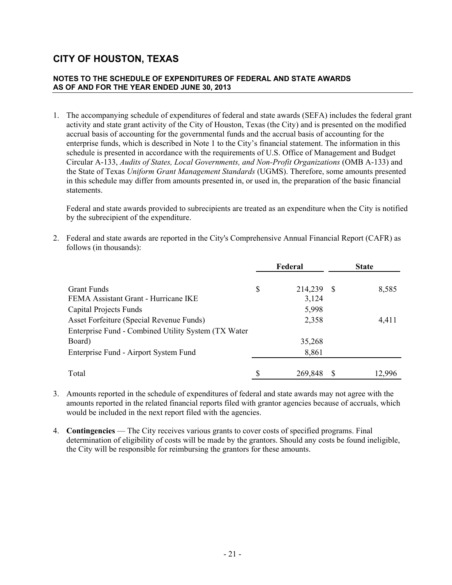## **NOTES TO THE SCHEDULE OF EXPENDITURES OF FEDERAL AND STATE AWARDS AS OF AND FOR THE YEAR ENDED JUNE 30, 2013**

1. The accompanying schedule of expenditures of federal and state awards (SEFA) includes the federal grant activity and state grant activity of the City of Houston, Texas (the City) and is presented on the modified accrual basis of accounting for the governmental funds and the accrual basis of accounting for the enterprise funds, which is described in Note 1 to the City's financial statement. The information in this schedule is presented in accordance with the requirements of U.S. Office of Management and Budget Circular A-133, *Audits of States, Local Governments, and Non-Profit Organizations* (OMB A-133) and the State of Texas *Uniform Grant Management Standards* (UGMS). Therefore, some amounts presented in this schedule may differ from amounts presented in, or used in, the preparation of the basic financial statements.

Federal and state awards provided to subrecipients are treated as an expenditure when the City is notified by the subrecipient of the expenditure.

2. Federal and state awards are reported in the City's Comprehensive Annual Financial Report (CAFR) as follows (in thousands):

|                                                      | Federal       |    | <b>State</b> |
|------------------------------------------------------|---------------|----|--------------|
| <b>Grant Funds</b>                                   | \$<br>214,239 | -8 | 8,585        |
| FEMA Assistant Grant - Hurricane IKE                 | 3,124         |    |              |
| Capital Projects Funds                               | 5,998         |    |              |
| Asset Forfeiture (Special Revenue Funds)             | 2,358         |    | 4,411        |
| Enterprise Fund - Combined Utility System (TX Water) |               |    |              |
| Board)                                               | 35,268        |    |              |
| Enterprise Fund - Airport System Fund                | 8,861         |    |              |
|                                                      |               |    |              |
| Total                                                | 269,848       |    | 12,996       |

- 3. Amounts reported in the schedule of expenditures of federal and state awards may not agree with the amounts reported in the related financial reports filed with grantor agencies because of accruals, which would be included in the next report filed with the agencies.
- 4. **Contingencies** The City receives various grants to cover costs of specified programs. Final determination of eligibility of costs will be made by the grantors. Should any costs be found ineligible, the City will be responsible for reimbursing the grantors for these amounts.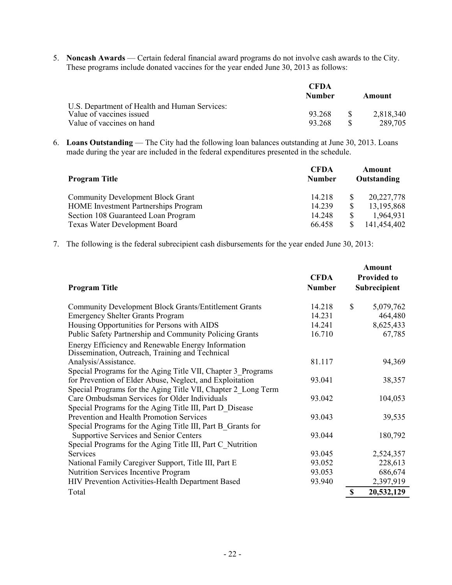5. **Noncash Awards** — Certain federal financial award programs do not involve cash awards to the City. These programs include donated vaccines for the year ended June 30, 2013 as follows:

|                                               | <b>CFDA</b><br>Number | Amount    |
|-----------------------------------------------|-----------------------|-----------|
| U.S. Department of Health and Human Services: |                       |           |
| Value of vaccines issued                      | 93 268                | 2,818,340 |
| Value of vaccines on hand                     | 93 268                | 289,705   |

6. **Loans Outstanding** — The City had the following loan balances outstanding at June 30, 2013. Loans made during the year are included in the federal expenditures presented in the schedule.

| <b>Program Title</b>                        | <b>CFDA</b><br><b>Number</b> | Amount<br>Outstanding |
|---------------------------------------------|------------------------------|-----------------------|
| <b>Community Development Block Grant</b>    | 14.218                       | 20,227,778            |
| <b>HOME</b> Investment Partnerships Program | 14.239                       | 13, 195, 868          |
| Section 108 Guaranteed Loan Program         | 14.248                       | 1,964,931             |
| <b>Texas Water Development Board</b>        | 66.458                       | 141,454,402           |

7. The following is the federal subrecipient cash disbursements for the year ended June 30, 2013:

|                                                                                                       |               | <b>Amount</b>        |
|-------------------------------------------------------------------------------------------------------|---------------|----------------------|
|                                                                                                       | <b>CFDA</b>   | <b>Provided to</b>   |
| <b>Program Title</b>                                                                                  | <b>Number</b> | <b>Subrecipient</b>  |
|                                                                                                       | 14.218        | $\mathbb{S}$         |
| <b>Community Development Block Grants/Entitlement Grants</b>                                          | 14.231        | 5,079,762<br>464,480 |
| <b>Emergency Shelter Grants Program</b>                                                               | 14.241        | 8,625,433            |
| Housing Opportunities for Persons with AIDS                                                           | 16.710        |                      |
| Public Safety Partnership and Community Policing Grants                                               |               | 67,785               |
| Energy Efficiency and Renewable Energy Information<br>Dissemination, Outreach, Training and Technical |               |                      |
| Analysis/Assistance.                                                                                  | 81.117        | 94,369               |
| Special Programs for the Aging Title VII, Chapter 3 Programs                                          |               |                      |
| for Prevention of Elder Abuse, Neglect, and Exploitation                                              | 93.041        | 38,357               |
| Special Programs for the Aging Title VII, Chapter 2 Long Term                                         |               |                      |
| Care Ombudsman Services for Older Individuals                                                         | 93.042        | 104,053              |
| Special Programs for the Aging Title III, Part D Disease                                              |               |                      |
| Prevention and Health Promotion Services                                                              | 93.043        | 39,535               |
| Special Programs for the Aging Title III, Part B Grants for                                           |               |                      |
| <b>Supportive Services and Senior Centers</b>                                                         | 93.044        | 180,792              |
| Special Programs for the Aging Title III, Part C Nutrition                                            |               |                      |
| <b>Services</b>                                                                                       | 93.045        | 2,524,357            |
| National Family Caregiver Support, Title III, Part E                                                  | 93.052        | 228,613              |
| Nutrition Services Incentive Program                                                                  | 93.053        | 686,674              |
| HIV Prevention Activities-Health Department Based                                                     | 93.940        | 2,397,919            |
| Total                                                                                                 |               | 20,532,129<br>\$     |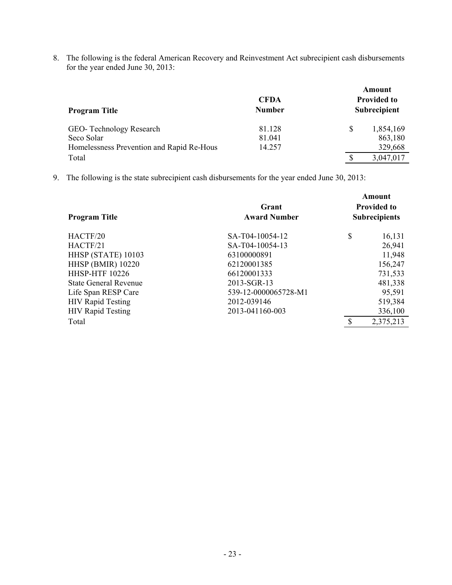8. The following is the federal American Recovery and Reinvestment Act subrecipient cash disbursements for the year ended June 30, 2013:

| <b>Program Title</b>                      | <b>CFDA</b><br><b>Number</b> | Amount<br><b>Provided to</b><br><b>Subrecipient</b> |
|-------------------------------------------|------------------------------|-----------------------------------------------------|
| GEO-Technology Research                   | 81.128                       | \$<br>1,854,169                                     |
| Seco Solar                                | 81.041                       | 863,180                                             |
| Homelessness Prevention and Rapid Re-Hous | 14.257                       | 329,668                                             |
| Total                                     |                              | \$<br>3,047,017                                     |

9. The following is the state subrecipient cash disbursements for the year ended June 30, 2013:

| <b>Program Title</b>     | Grant<br><b>Award Number</b> | Amount<br><b>Provided to</b><br><b>Subrecipients</b> |
|--------------------------|------------------------------|------------------------------------------------------|
| HACTF/20                 | SA-T04-10054-12              | \$<br>16,131                                         |
| HACTF/21                 | SA-T04-10054-13              | 26,941                                               |
| HHSP (STATE) 10103       | 63100000891                  | 11,948                                               |
| <b>HHSP (BMIR) 10220</b> | 62120001385                  | 156,247                                              |
| <b>HHSP-HTF 10226</b>    | 66120001333                  | 731,533                                              |
| State General Revenue    | 2013-SGR-13                  | 481,338                                              |
| Life Span RESP Care      | 539-12-0000065728-M1         | 95,591                                               |
| <b>HIV Rapid Testing</b> | 2012-039146                  | 519,384                                              |
| <b>HIV Rapid Testing</b> | 2013-041160-003              | 336,100                                              |
| Total                    |                              | 2,375,213                                            |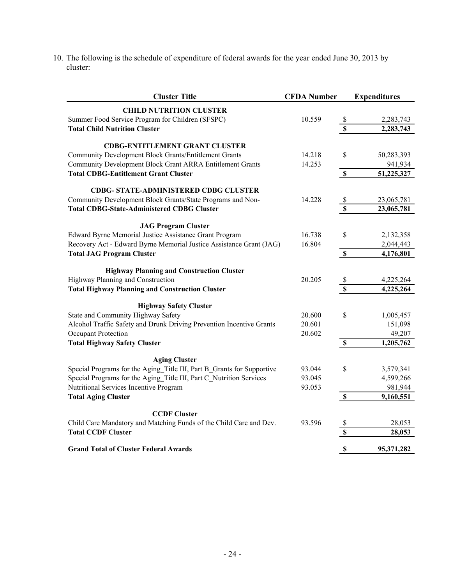10. The following is the schedule of expenditure of federal awards for the year ended June 30, 2013 by cluster:

| <b>Cluster Title</b>                                                                           | <b>CFDA Number</b> |                           | <b>Expenditures</b> |
|------------------------------------------------------------------------------------------------|--------------------|---------------------------|---------------------|
| <b>CHILD NUTRITION CLUSTER</b>                                                                 |                    |                           |                     |
| Summer Food Service Program for Children (SFSPC)                                               | 10.559             |                           | 2,283,743           |
| <b>Total Child Nutrition Cluster</b>                                                           |                    | $rac{s}{s}$               | 2,283,743           |
|                                                                                                |                    |                           |                     |
| <b>CDBG-ENTITLEMENT GRANT CLUSTER</b><br>Community Development Block Grants/Entitlement Grants | 14.218             | \$                        | 50,283,393          |
| Community Development Block Grant ARRA Entitlement Grants                                      | 14.253             |                           | 941,934             |
| <b>Total CDBG-Entitlement Grant Cluster</b>                                                    |                    | $\mathbf S$               | 51,225,327          |
|                                                                                                |                    |                           |                     |
| <b>CDBG- STATE-ADMINISTERED CDBG CLUSTER</b>                                                   |                    |                           |                     |
| Community Development Block Grants/State Programs and Non-                                     | 14.228             | $rac{1}{s}$               | 23,065,781          |
| <b>Total CDBG-State-Administered CDBG Cluster</b>                                              |                    |                           | 23,065,781          |
| <b>JAG Program Cluster</b>                                                                     |                    |                           |                     |
| Edward Byrne Memorial Justice Assistance Grant Program                                         | 16.738             | \$                        | 2,132,358           |
| Recovery Act - Edward Byrne Memorial Justice Assistance Grant (JAG)                            | 16.804             |                           | 2,044,443           |
| <b>Total JAG Program Cluster</b>                                                               |                    | $\mathbb S$               | 4,176,801           |
|                                                                                                |                    |                           |                     |
| <b>Highway Planning and Construction Cluster</b>                                               |                    |                           |                     |
| Highway Planning and Construction                                                              | 20.205             | $\mathbb S$               | 4,225,264           |
| <b>Total Highway Planning and Construction Cluster</b>                                         |                    | $\mathbb{S}$              | 4,225,264           |
| <b>Highway Safety Cluster</b>                                                                  |                    |                           |                     |
| State and Community Highway Safety                                                             | 20.600             | \$                        | 1,005,457           |
| Alcohol Traffic Safety and Drunk Driving Prevention Incentive Grants                           | 20.601             |                           | 151,098             |
| Occupant Protection                                                                            | 20.602             |                           | 49,207              |
| <b>Total Highway Safety Cluster</b>                                                            |                    | $\boldsymbol{\mathsf{S}}$ | 1,205,762           |
| <b>Aging Cluster</b>                                                                           |                    |                           |                     |
| Special Programs for the Aging Title III, Part B Grants for Supportive                         | 93.044             | \$                        | 3,579,341           |
| Special Programs for the Aging_Title III, Part C_Nutrition Services                            | 93.045             |                           | 4,599,266           |
| Nutritional Services Incentive Program                                                         | 93.053             |                           | 981,944             |
| <b>Total Aging Cluster</b>                                                                     |                    | $\mathbf S$               | 9,160,551           |
| <b>CCDF Cluster</b>                                                                            |                    |                           |                     |
| Child Care Mandatory and Matching Funds of the Child Care and Dev.                             | 93.596             | $\mathbb S$               | 28,053              |
| <b>Total CCDF Cluster</b>                                                                      |                    | $\mathbf S$               | 28,053              |
|                                                                                                |                    |                           |                     |
| <b>Grand Total of Cluster Federal Awards</b>                                                   |                    | \$                        | 95,371,282          |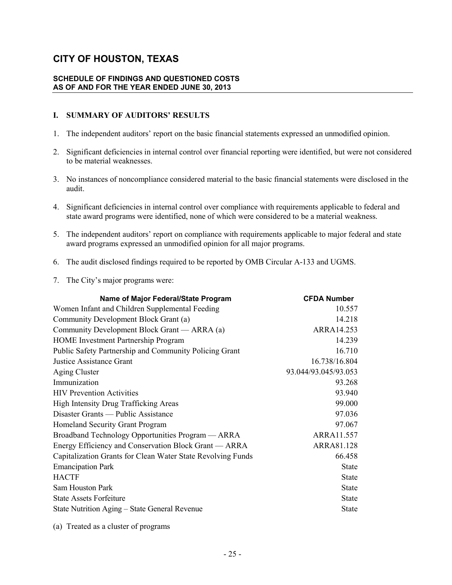## **SCHEDULE OF FINDINGS AND QUESTIONED COSTS AS OF AND FOR THE YEAR ENDED JUNE 30, 2013**

## **I. SUMMARY OF AUDITORS' RESULTS**

- 1. The independent auditors' report on the basic financial statements expressed an unmodified opinion.
- 2. Significant deficiencies in internal control over financial reporting were identified, but were not considered to be material weaknesses.
- 3. No instances of noncompliance considered material to the basic financial statements were disclosed in the audit.
- 4. Significant deficiencies in internal control over compliance with requirements applicable to federal and state award programs were identified, none of which were considered to be a material weakness.
- 5. The independent auditors' report on compliance with requirements applicable to major federal and state award programs expressed an unmodified opinion for all major programs.
- 6. The audit disclosed findings required to be reported by OMB Circular A-133 and UGMS.
- 7. The City's major programs were:

| Name of Major Federal/State Program                           | <b>CFDA Number</b>   |
|---------------------------------------------------------------|----------------------|
| Women Infant and Children Supplemental Feeding                | 10.557               |
| Community Development Block Grant (a)                         | 14.218               |
| Community Development Block Grant — ARRA (a)                  | ARRA14.253           |
| HOME Investment Partnership Program                           | 14.239               |
| <b>Public Safety Partnership and Community Policing Grant</b> | 16.710               |
| <b>Justice Assistance Grant</b>                               | 16.738/16.804        |
| Aging Cluster                                                 | 93.044/93.045/93.053 |
| Immunization                                                  | 93.268               |
| <b>HIV Prevention Activities</b>                              | 93.940               |
| High Intensity Drug Trafficking Areas                         | 99.000               |
| Disaster Grants — Public Assistance                           | 97.036               |
| Homeland Security Grant Program                               | 97.067               |
| Broadband Technology Opportunities Program — ARRA             | ARRA11.557           |
| Energy Efficiency and Conservation Block Grant — ARRA         | ARRA81.128           |
| Capitalization Grants for Clean Water State Revolving Funds   | 66.458               |
| <b>Emancipation Park</b>                                      | <b>State</b>         |
| <b>HACTF</b>                                                  | <b>State</b>         |
| Sam Houston Park                                              | <b>State</b>         |
| <b>State Assets Forfeiture</b>                                | <b>State</b>         |
| State Nutrition Aging – State General Revenue                 | <b>State</b>         |

(a) Treated as a cluster of programs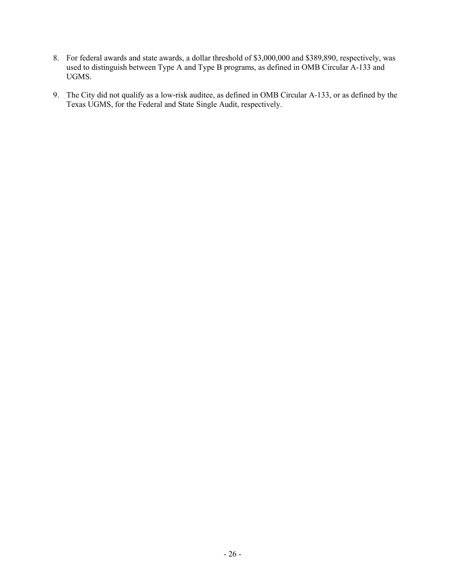- 8. For federal awards and state awards, a dollar threshold of \$3,000,000 and \$389,890, respectively, was used to distinguish between Type A and Type B programs, as defined in OMB Circular A-133 and UGMS.
- 9. The City did not qualify as a low-risk auditee, as defined in OMB Circular A-133, or as defined by the Texas UGMS, for the Federal and State Single Audit, respectively.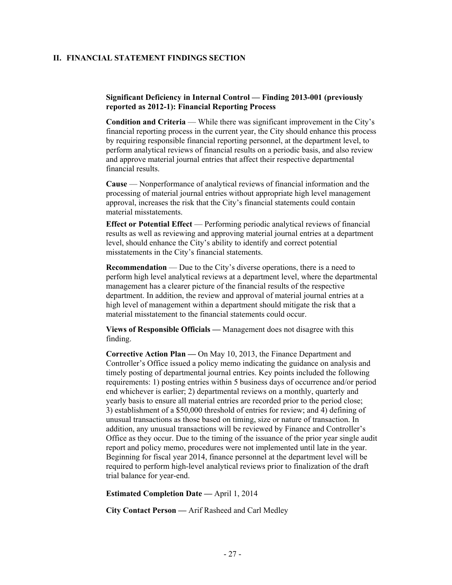## **II. FINANCIAL STATEMENT FINDINGS SECTION**

## **Significant Deficiency in Internal Control — Finding 2013-001 (previously reported as 2012-1): Financial Reporting Process**

**Condition and Criteria** — While there was significant improvement in the City's financial reporting process in the current year, the City should enhance this process by requiring responsible financial reporting personnel, at the department level, to perform analytical reviews of financial results on a periodic basis, and also review and approve material journal entries that affect their respective departmental financial results.

**Cause** — Nonperformance of analytical reviews of financial information and the processing of material journal entries without appropriate high level management approval, increases the risk that the City's financial statements could contain material misstatements.

**Effect or Potential Effect** — Performing periodic analytical reviews of financial results as well as reviewing and approving material journal entries at a department level, should enhance the City's ability to identify and correct potential misstatements in the City's financial statements.

**Recommendation** — Due to the City's diverse operations, there is a need to perform high level analytical reviews at a department level, where the departmental management has a clearer picture of the financial results of the respective department. In addition, the review and approval of material journal entries at a high level of management within a department should mitigate the risk that a material misstatement to the financial statements could occur.

**Views of Responsible Officials —** Management does not disagree with this finding.

**Corrective Action Plan —** On May 10, 2013, the Finance Department and Controller's Office issued a policy memo indicating the guidance on analysis and timely posting of departmental journal entries. Key points included the following requirements: 1) posting entries within 5 business days of occurrence and/or period end whichever is earlier; 2) departmental reviews on a monthly, quarterly and yearly basis to ensure all material entries are recorded prior to the period close; 3) establishment of a \$50,000 threshold of entries for review; and 4) defining of unusual transactions as those based on timing, size or nature of transaction. In addition, any unusual transactions will be reviewed by Finance and Controller's Office as they occur. Due to the timing of the issuance of the prior year single audit report and policy memo, procedures were not implemented until late in the year. Beginning for fiscal year 2014, finance personnel at the department level will be required to perform high-level analytical reviews prior to finalization of the draft trial balance for year-end.

**Estimated Completion Date —** April 1, 2014

**City Contact Person —** Arif Rasheed and Carl Medley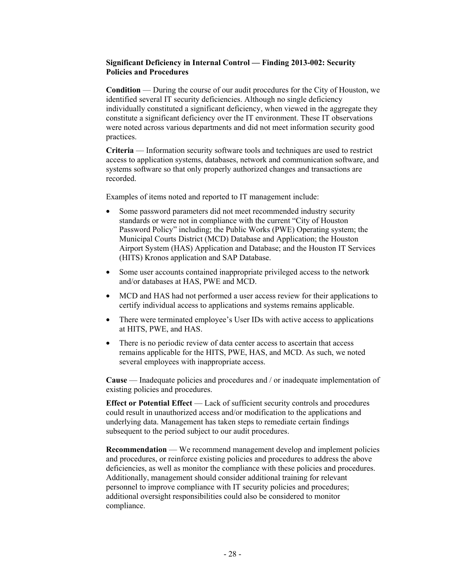## **Significant Deficiency in Internal Control — Finding 2013-002: Security Policies and Procedures**

**Condition** — During the course of our audit procedures for the City of Houston, we identified several IT security deficiencies. Although no single deficiency individually constituted a significant deficiency, when viewed in the aggregate they constitute a significant deficiency over the IT environment. These IT observations were noted across various departments and did not meet information security good practices.

**Criteria** — Information security software tools and techniques are used to restrict access to application systems, databases, network and communication software, and systems software so that only properly authorized changes and transactions are recorded.

Examples of items noted and reported to IT management include:

- Some password parameters did not meet recommended industry security standards or were not in compliance with the current "City of Houston Password Policy" including; the Public Works (PWE) Operating system; the Municipal Courts District (MCD) Database and Application; the Houston Airport System (HAS) Application and Database; and the Houston IT Services (HITS) Kronos application and SAP Database.
- Some user accounts contained inappropriate privileged access to the network and/or databases at HAS, PWE and MCD.
- MCD and HAS had not performed a user access review for their applications to certify individual access to applications and systems remains applicable.
- There were terminated employee's User IDs with active access to applications at HITS, PWE, and HAS.
- There is no periodic review of data center access to ascertain that access remains applicable for the HITS, PWE, HAS, and MCD. As such, we noted several employees with inappropriate access.

**Cause** — Inadequate policies and procedures and / or inadequate implementation of existing policies and procedures.

**Effect or Potential Effect** — Lack of sufficient security controls and procedures could result in unauthorized access and/or modification to the applications and underlying data. Management has taken steps to remediate certain findings subsequent to the period subject to our audit procedures.

**Recommendation** — We recommend management develop and implement policies and procedures, or reinforce existing policies and procedures to address the above deficiencies, as well as monitor the compliance with these policies and procedures. Additionally, management should consider additional training for relevant personnel to improve compliance with IT security policies and procedures; additional oversight responsibilities could also be considered to monitor compliance.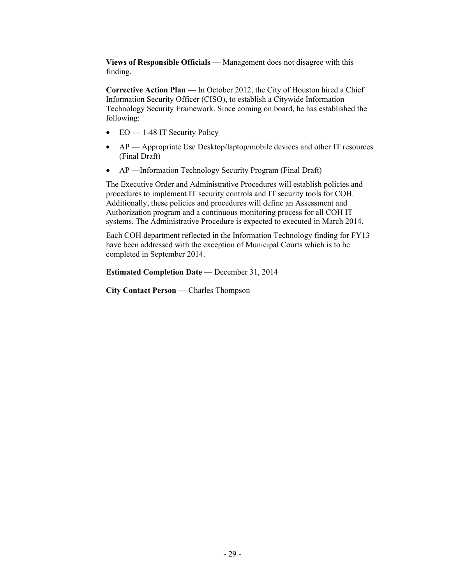**Views of Responsible Officials —** Management does not disagree with this finding.

**Corrective Action Plan —** In October 2012, the City of Houston hired a Chief Information Security Officer (CISO), to establish a Citywide Information Technology Security Framework. Since coming on board, he has established the following:

- $EO = 1-48$  IT Security Policy
- AP Appropriate Use Desktop/laptop/mobile devices and other IT resources (Final Draft)
- AP —Information Technology Security Program (Final Draft)

The Executive Order and Administrative Procedures will establish policies and procedures to implement IT security controls and IT security tools for COH. Additionally, these policies and procedures will define an Assessment and Authorization program and a continuous monitoring process for all COH IT systems. The Administrative Procedure is expected to executed in March 2014.

Each COH department reflected in the Information Technology finding for FY13 have been addressed with the exception of Municipal Courts which is to be completed in September 2014.

## **Estimated Completion Date —** December 31, 2014

**City Contact Person —** Charles Thompson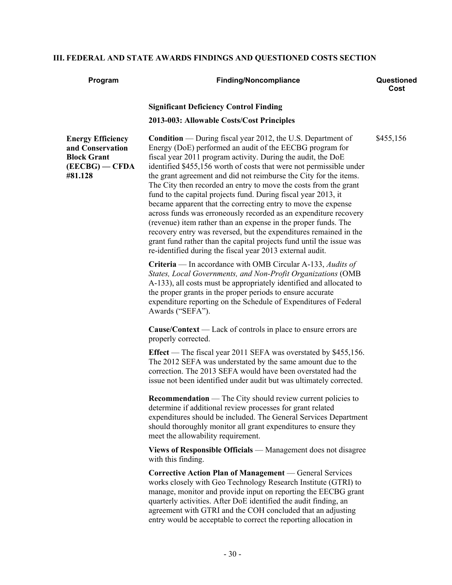## **III. FEDERAL AND STATE AWARDS FINDINGS AND QUESTIONED COSTS SECTION**

| Program                                                                                           | <b>Finding/Noncompliance</b>                                                                                                                                                                                                                                                                                                                                                                                                                                                                                                                                                                                                                                                                                                                                                                                                                                                                      | Questioned<br>Cost |
|---------------------------------------------------------------------------------------------------|---------------------------------------------------------------------------------------------------------------------------------------------------------------------------------------------------------------------------------------------------------------------------------------------------------------------------------------------------------------------------------------------------------------------------------------------------------------------------------------------------------------------------------------------------------------------------------------------------------------------------------------------------------------------------------------------------------------------------------------------------------------------------------------------------------------------------------------------------------------------------------------------------|--------------------|
|                                                                                                   | <b>Significant Deficiency Control Finding</b>                                                                                                                                                                                                                                                                                                                                                                                                                                                                                                                                                                                                                                                                                                                                                                                                                                                     |                    |
|                                                                                                   | 2013-003: Allowable Costs/Cost Principles                                                                                                                                                                                                                                                                                                                                                                                                                                                                                                                                                                                                                                                                                                                                                                                                                                                         |                    |
| <b>Energy Efficiency</b><br>and Conservation<br><b>Block Grant</b><br>$(EECBG)$ - CFDA<br>#81.128 | <b>Condition</b> — During fiscal year 2012, the U.S. Department of<br>Energy (DoE) performed an audit of the EECBG program for<br>fiscal year 2011 program activity. During the audit, the DoE<br>identified \$455,156 worth of costs that were not permissible under<br>the grant agreement and did not reimburse the City for the items.<br>The City then recorded an entry to move the costs from the grant<br>fund to the capital projects fund. During fiscal year 2013, it<br>became apparent that the correcting entry to move the expense<br>across funds was erroneously recorded as an expenditure recovery<br>(revenue) item rather than an expense in the proper funds. The<br>recovery entry was reversed, but the expenditures remained in the<br>grant fund rather than the capital projects fund until the issue was<br>re-identified during the fiscal year 2013 external audit. | \$455,156          |
|                                                                                                   | Criteria — In accordance with OMB Circular A-133, Audits of<br>States, Local Governments, and Non-Profit Organizations (OMB<br>A-133), all costs must be appropriately identified and allocated to<br>the proper grants in the proper periods to ensure accurate<br>expenditure reporting on the Schedule of Expenditures of Federal<br>Awards ("SEFA").                                                                                                                                                                                                                                                                                                                                                                                                                                                                                                                                          |                    |
|                                                                                                   | <b>Cause/Context</b> — Lack of controls in place to ensure errors are<br>properly corrected.                                                                                                                                                                                                                                                                                                                                                                                                                                                                                                                                                                                                                                                                                                                                                                                                      |                    |
|                                                                                                   | <b>Effect</b> — The fiscal year 2011 SEFA was overstated by \$455,156.<br>The 2012 SEFA was understated by the same amount due to the<br>correction. The 2013 SEFA would have been overstated had the<br>issue not been identified under audit but was ultimately corrected.                                                                                                                                                                                                                                                                                                                                                                                                                                                                                                                                                                                                                      |                    |
|                                                                                                   | <b>Recommendation</b> — The City should review current policies to<br>determine if additional review processes for grant related<br>expenditures should be included. The General Services Department<br>should thoroughly monitor all grant expenditures to ensure they<br>meet the allowability requirement.                                                                                                                                                                                                                                                                                                                                                                                                                                                                                                                                                                                     |                    |
|                                                                                                   | Views of Responsible Officials — Management does not disagree<br>with this finding.                                                                                                                                                                                                                                                                                                                                                                                                                                                                                                                                                                                                                                                                                                                                                                                                               |                    |
|                                                                                                   | Corrective Action Plan of Management — General Services<br>works closely with Geo Technology Research Institute (GTRI) to<br>manage, monitor and provide input on reporting the EECBG grant<br>quarterly activities. After DoE identified the audit finding, an<br>agreement with GTRI and the COH concluded that an adjusting<br>entry would be acceptable to correct the reporting allocation in                                                                                                                                                                                                                                                                                                                                                                                                                                                                                                |                    |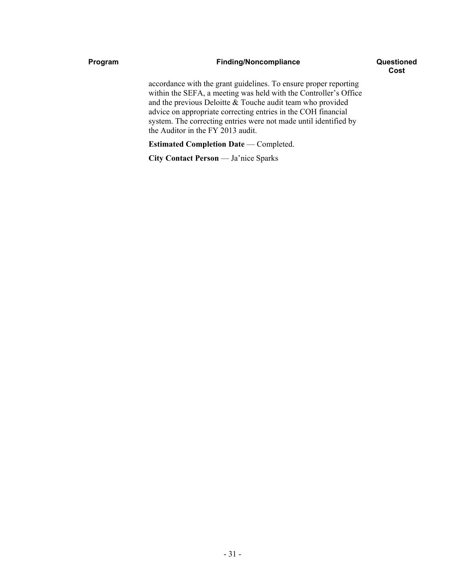## **Program Contract Program Finding/Noncompliance Cuestioned Cuestioned**

# **Cost**

accordance with the grant guidelines. To ensure proper reporting within the SEFA, a meeting was held with the Controller's Office and the previous Deloitte & Touche audit team who provided advice on appropriate correcting entries in the COH financial system. The correcting entries were not made until identified by the Auditor in the FY 2013 audit.

**Estimated Completion Date** — Completed.

**City Contact Person** — Ja'nice Sparks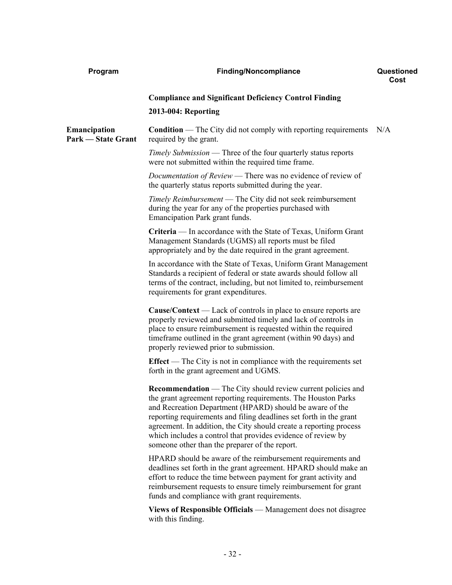| Program                                   | <b>Finding/Noncompliance</b>                                                                                                                                                                                                                                                                                                                                                                                                                                   | Questioned<br>Cost |
|-------------------------------------------|----------------------------------------------------------------------------------------------------------------------------------------------------------------------------------------------------------------------------------------------------------------------------------------------------------------------------------------------------------------------------------------------------------------------------------------------------------------|--------------------|
|                                           | <b>Compliance and Significant Deficiency Control Finding</b>                                                                                                                                                                                                                                                                                                                                                                                                   |                    |
|                                           | 2013-004: Reporting                                                                                                                                                                                                                                                                                                                                                                                                                                            |                    |
| Emancipation<br><b>Park — State Grant</b> | <b>Condition</b> — The City did not comply with reporting requirements<br>required by the grant.                                                                                                                                                                                                                                                                                                                                                               | N/A                |
|                                           | <i>Timely Submission</i> — Three of the four quarterly status reports<br>were not submitted within the required time frame.                                                                                                                                                                                                                                                                                                                                    |                    |
|                                           | Documentation of Review — There was no evidence of review of<br>the quarterly status reports submitted during the year.                                                                                                                                                                                                                                                                                                                                        |                    |
|                                           | Timely Reimbursement — The City did not seek reimbursement<br>during the year for any of the properties purchased with<br>Emancipation Park grant funds.                                                                                                                                                                                                                                                                                                       |                    |
|                                           | Criteria — In accordance with the State of Texas, Uniform Grant<br>Management Standards (UGMS) all reports must be filed<br>appropriately and by the date required in the grant agreement.                                                                                                                                                                                                                                                                     |                    |
|                                           | In accordance with the State of Texas, Uniform Grant Management<br>Standards a recipient of federal or state awards should follow all<br>terms of the contract, including, but not limited to, reimbursement<br>requirements for grant expenditures.                                                                                                                                                                                                           |                    |
|                                           | Cause/Context — Lack of controls in place to ensure reports are<br>properly reviewed and submitted timely and lack of controls in<br>place to ensure reimbursement is requested within the required<br>timeframe outlined in the grant agreement (within 90 days) and<br>properly reviewed prior to submission.                                                                                                                                                |                    |
|                                           | <b>Effect</b> — The City is not in compliance with the requirements set<br>forth in the grant agreement and UGMS.                                                                                                                                                                                                                                                                                                                                              |                    |
|                                           | <b>Recommendation</b> — The City should review current policies and<br>the grant agreement reporting requirements. The Houston Parks<br>and Recreation Department (HPARD) should be aware of the<br>reporting requirements and filing deadlines set forth in the grant<br>agreement. In addition, the City should create a reporting process<br>which includes a control that provides evidence of review by<br>someone other than the preparer of the report. |                    |
|                                           | HPARD should be aware of the reimbursement requirements and<br>deadlines set forth in the grant agreement. HPARD should make an<br>effort to reduce the time between payment for grant activity and<br>reimbursement requests to ensure timely reimbursement for grant<br>funds and compliance with grant requirements.                                                                                                                                        |                    |
|                                           | Views of Responsible Officials — Management does not disagree<br>with this finding.                                                                                                                                                                                                                                                                                                                                                                            |                    |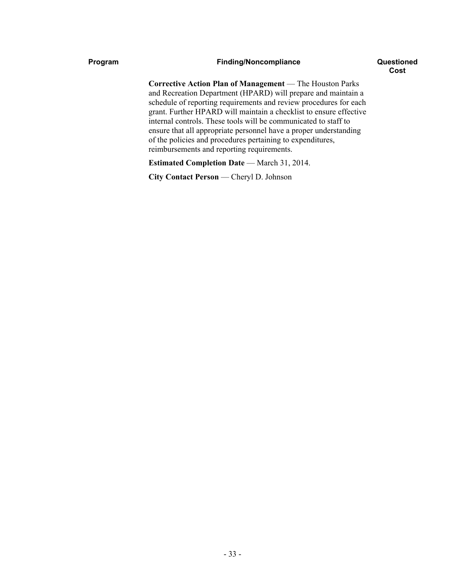## **Program Contract Program Finding/Noncompliance Cuestioned Cuestioned**

**Corrective Action Plan of Management** — The Houston Parks and Recreation Department (HPARD) will prepare and maintain a schedule of reporting requirements and review procedures for each grant. Further HPARD will maintain a checklist to ensure effective internal controls. These tools will be communicated to staff to ensure that all appropriate personnel have a proper understanding of the policies and procedures pertaining to expenditures, reimbursements and reporting requirements.

**Estimated Completion Date** — March 31, 2014.

**City Contact Person** — Cheryl D. Johnson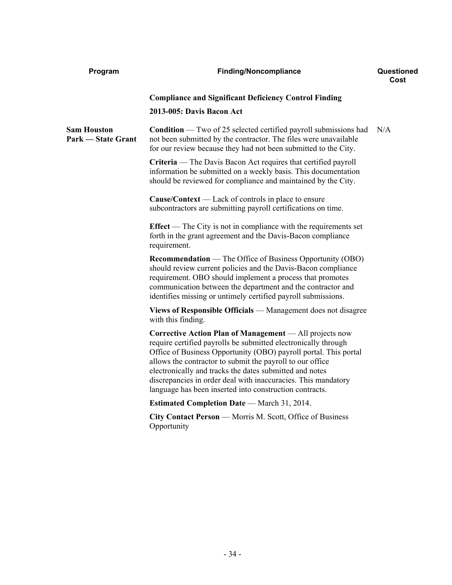| Program                                  | <b>Finding/Noncompliance</b>                                                                                                                                                                                                                                                                                                                                                                                                                      | Questioned<br>Cost |
|------------------------------------------|---------------------------------------------------------------------------------------------------------------------------------------------------------------------------------------------------------------------------------------------------------------------------------------------------------------------------------------------------------------------------------------------------------------------------------------------------|--------------------|
|                                          | <b>Compliance and Significant Deficiency Control Finding</b>                                                                                                                                                                                                                                                                                                                                                                                      |                    |
|                                          | 2013-005: Davis Bacon Act                                                                                                                                                                                                                                                                                                                                                                                                                         |                    |
| <b>Sam Houston</b><br>Park — State Grant | <b>Condition</b> — Two of 25 selected certified payroll submissions had<br>not been submitted by the contractor. The files were unavailable<br>for our review because they had not been submitted to the City.                                                                                                                                                                                                                                    | N/A                |
|                                          | Criteria — The Davis Bacon Act requires that certified payroll<br>information be submitted on a weekly basis. This documentation<br>should be reviewed for compliance and maintained by the City.                                                                                                                                                                                                                                                 |                    |
|                                          | Cause/Context — Lack of controls in place to ensure<br>subcontractors are submitting payroll certifications on time.                                                                                                                                                                                                                                                                                                                              |                    |
|                                          | <b>Effect</b> — The City is not in compliance with the requirements set<br>forth in the grant agreement and the Davis-Bacon compliance<br>requirement.                                                                                                                                                                                                                                                                                            |                    |
|                                          | <b>Recommendation</b> — The Office of Business Opportunity (OBO)<br>should review current policies and the Davis-Bacon compliance<br>requirement. OBO should implement a process that promotes<br>communication between the department and the contractor and<br>identifies missing or untimely certified payroll submissions.                                                                                                                    |                    |
|                                          | Views of Responsible Officials — Management does not disagree<br>with this finding.                                                                                                                                                                                                                                                                                                                                                               |                    |
|                                          | Corrective Action Plan of Management — All projects now<br>require certified payrolls be submitted electronically through<br>Office of Business Opportunity (OBO) payroll portal. This portal<br>allows the contractor to submit the payroll to our office<br>electronically and tracks the dates submitted and notes<br>discrepancies in order deal with inaccuracies. This mandatory<br>language has been inserted into construction contracts. |                    |
|                                          | <b>Estimated Completion Date</b> — March 31, 2014.                                                                                                                                                                                                                                                                                                                                                                                                |                    |
|                                          | City Contact Person — Morris M. Scott, Office of Business<br>Opportunity                                                                                                                                                                                                                                                                                                                                                                          |                    |
|                                          |                                                                                                                                                                                                                                                                                                                                                                                                                                                   |                    |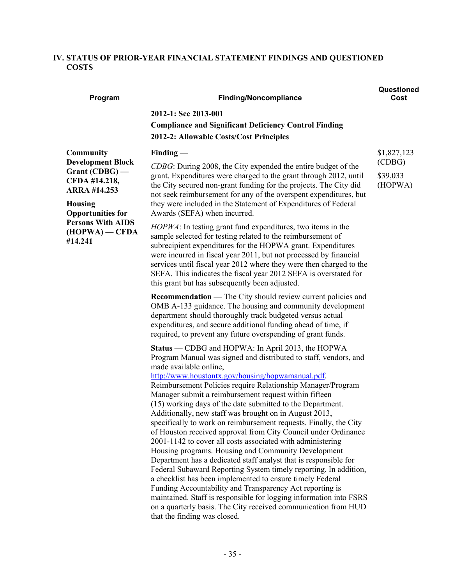## **IV. STATUS OF PRIOR-YEAR FINANCIAL STATEMENT FINDINGS AND QUESTIONED COSTS**

| Program                                                                                                                                                                                                           | <b>Finding/Noncompliance</b>                                                                                                                                                                                                                                                                                                                                                                                                                                                                                                                                                                                                                                                                                                                                                                                                                                                                                                                                                                                                                                                                                                                                     | Questioned<br>Cost                           |
|-------------------------------------------------------------------------------------------------------------------------------------------------------------------------------------------------------------------|------------------------------------------------------------------------------------------------------------------------------------------------------------------------------------------------------------------------------------------------------------------------------------------------------------------------------------------------------------------------------------------------------------------------------------------------------------------------------------------------------------------------------------------------------------------------------------------------------------------------------------------------------------------------------------------------------------------------------------------------------------------------------------------------------------------------------------------------------------------------------------------------------------------------------------------------------------------------------------------------------------------------------------------------------------------------------------------------------------------------------------------------------------------|----------------------------------------------|
|                                                                                                                                                                                                                   | 2012-1: See 2013-001<br><b>Compliance and Significant Deficiency Control Finding</b><br>2012-2: Allowable Costs/Cost Principles                                                                                                                                                                                                                                                                                                                                                                                                                                                                                                                                                                                                                                                                                                                                                                                                                                                                                                                                                                                                                                  |                                              |
| <b>Community</b><br><b>Development Block</b><br>$Grant (CDBG) -$<br>CFDA #14.218,<br><b>ARRA #14.253</b><br><b>Housing</b><br><b>Opportunities for</b><br><b>Persons With AIDS</b><br>$(HOPWA)$ - CFDA<br>#14.241 | $Finding$ —<br>CDBG: During 2008, the City expended the entire budget of the<br>grant. Expenditures were charged to the grant through 2012, until<br>the City secured non-grant funding for the projects. The City did<br>not seek reimbursement for any of the overspent expenditures, but<br>they were included in the Statement of Expenditures of Federal<br>Awards (SEFA) when incurred.<br><i>HOPWA</i> : In testing grant fund expenditures, two items in the                                                                                                                                                                                                                                                                                                                                                                                                                                                                                                                                                                                                                                                                                             | \$1,827,123<br>(CDBG)<br>\$39,033<br>(HOPWA) |
|                                                                                                                                                                                                                   | sample selected for testing related to the reimbursement of<br>subrecipient expenditures for the HOPWA grant. Expenditures<br>were incurred in fiscal year 2011, but not processed by financial<br>services until fiscal year 2012 where they were then charged to the<br>SEFA. This indicates the fiscal year 2012 SEFA is overstated for<br>this grant but has subsequently been adjusted.                                                                                                                                                                                                                                                                                                                                                                                                                                                                                                                                                                                                                                                                                                                                                                     |                                              |
|                                                                                                                                                                                                                   | <b>Recommendation</b> — The City should review current policies and<br>OMB A-133 guidance. The housing and community development<br>department should thoroughly track budgeted versus actual<br>expenditures, and secure additional funding ahead of time, if<br>required, to prevent any future overspending of grant funds.                                                                                                                                                                                                                                                                                                                                                                                                                                                                                                                                                                                                                                                                                                                                                                                                                                   |                                              |
|                                                                                                                                                                                                                   | <b>Status</b> — CDBG and HOPWA: In April 2013, the HOPWA<br>Program Manual was signed and distributed to staff, vendors, and<br>made available online,<br>http://www.houstontx.gov/housing/hopwamanual.pdf.<br>Reimbursement Policies require Relationship Manager/Program<br>Manager submit a reimbursement request within fifteen<br>(15) working days of the date submitted to the Department.<br>Additionally, new staff was brought on in August 2013,<br>specifically to work on reimbursement requests. Finally, the City<br>of Houston received approval from City Council under Ordinance<br>2001-1142 to cover all costs associated with administering<br>Housing programs. Housing and Community Development<br>Department has a dedicated staff analyst that is responsible for<br>Federal Subaward Reporting System timely reporting. In addition,<br>a checklist has been implemented to ensure timely Federal<br>Funding Accountability and Transparency Act reporting is<br>maintained. Staff is responsible for logging information into FSRS<br>on a quarterly basis. The City received communication from HUD<br>that the finding was closed. |                                              |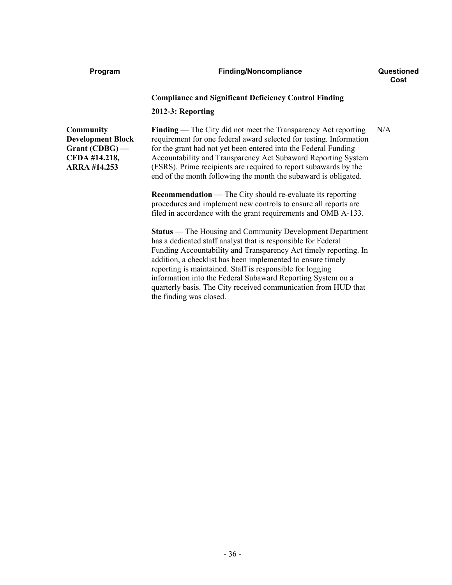## **Program Transform Einding/Noncompliance Area Constrained Area Constrained Area Program**

## **Compliance and Significant Deficiency Control Finding**

## **2012-3: Reporting**

**Community Development Block Grant (CDBG) — CFDA #14.218, ARRA #14.253**

**Finding** — The City did not meet the Transparency Act reporting requirement for one federal award selected for testing. Information for the grant had not yet been entered into the Federal Funding Accountability and Transparency Act Subaward Reporting System (FSRS). Prime recipients are required to report subawards by the end of the month following the month the subaward is obligated. N/A

**Recommendation** — The City should re-evaluate its reporting procedures and implement new controls to ensure all reports are filed in accordance with the grant requirements and OMB A-133.

**Status** — The Housing and Community Development Department has a dedicated staff analyst that is responsible for Federal Funding Accountability and Transparency Act timely reporting. In addition, a checklist has been implemented to ensure timely reporting is maintained. Staff is responsible for logging information into the Federal Subaward Reporting System on a quarterly basis. The City received communication from HUD that the finding was closed.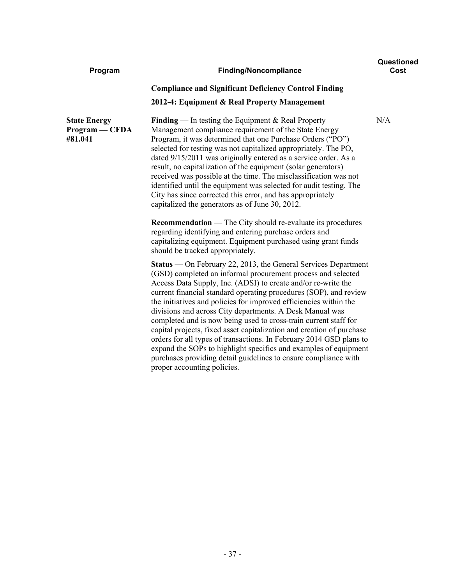| Program                                          | <b>Finding/Noncompliance</b>                                                                                                                                                                                                                                                                                                                                                                                                                                                                                                                                                                                                                                                                                                                                                                    | Questioned<br>Cost |
|--------------------------------------------------|-------------------------------------------------------------------------------------------------------------------------------------------------------------------------------------------------------------------------------------------------------------------------------------------------------------------------------------------------------------------------------------------------------------------------------------------------------------------------------------------------------------------------------------------------------------------------------------------------------------------------------------------------------------------------------------------------------------------------------------------------------------------------------------------------|--------------------|
|                                                  | <b>Compliance and Significant Deficiency Control Finding</b>                                                                                                                                                                                                                                                                                                                                                                                                                                                                                                                                                                                                                                                                                                                                    |                    |
|                                                  | 2012-4: Equipment & Real Property Management                                                                                                                                                                                                                                                                                                                                                                                                                                                                                                                                                                                                                                                                                                                                                    |                    |
| <b>State Energy</b><br>Program — CFDA<br>#81.041 | <b>Finding</b> — In testing the Equipment & Real Property<br>Management compliance requirement of the State Energy<br>Program, it was determined that one Purchase Orders ("PO")<br>selected for testing was not capitalized appropriately. The PO,<br>dated 9/15/2011 was originally entered as a service order. As a<br>result, no capitalization of the equipment (solar generators)<br>received was possible at the time. The misclassification was not<br>identified until the equipment was selected for audit testing. The<br>City has since corrected this error, and has appropriately<br>capitalized the generators as of June 30, 2012.                                                                                                                                              | N/A                |
|                                                  | <b>Recommendation</b> — The City should re-evaluate its procedures<br>regarding identifying and entering purchase orders and<br>capitalizing equipment. Equipment purchased using grant funds<br>should be tracked appropriately.                                                                                                                                                                                                                                                                                                                                                                                                                                                                                                                                                               |                    |
|                                                  | Status — On February 22, 2013, the General Services Department<br>(GSD) completed an informal procurement process and selected<br>Access Data Supply, Inc. (ADSI) to create and/or re-write the<br>current financial standard operating procedures (SOP), and review<br>the initiatives and policies for improved efficiencies within the<br>divisions and across City departments. A Desk Manual was<br>completed and is now being used to cross-train current staff for<br>capital projects, fixed asset capitalization and creation of purchase<br>orders for all types of transactions. In February 2014 GSD plans to<br>expand the SOPs to highlight specifics and examples of equipment<br>purchases providing detail guidelines to ensure compliance with<br>proper accounting policies. |                    |